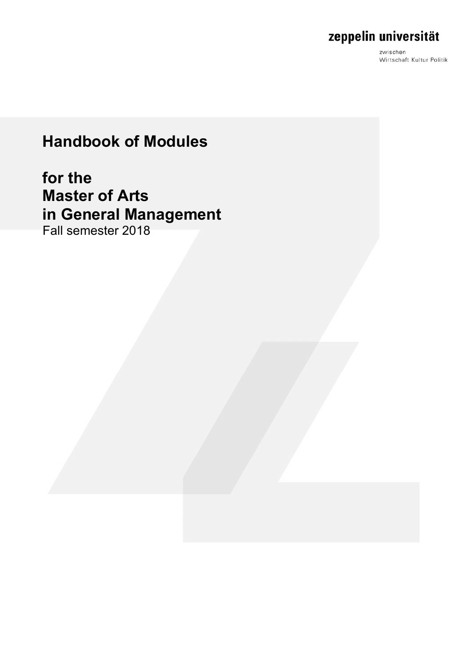zwischen Wirtschaft Kultur Politik

# **Handbook of Modules**

# **for the Master of Arts in General Management**

Fall semester 2018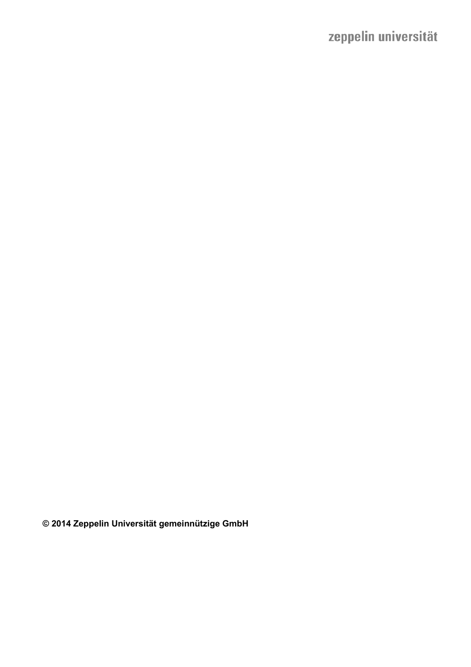**© 2014 Zeppelin Universität gemeinnützige GmbH**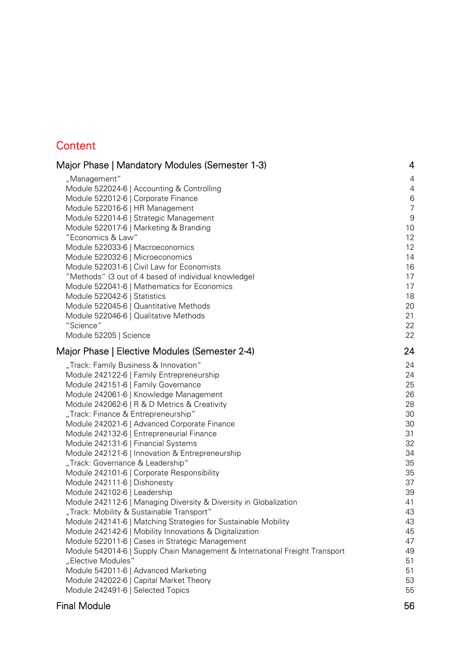## **Content**

| Major Phase   Mandatory Modules (Semester 1-3)                              | 4                |
|-----------------------------------------------------------------------------|------------------|
| "Management"                                                                | 4                |
| Module 522024-6   Accounting & Controlling                                  | 4                |
| Module 522012-6   Corporate Finance                                         | $6\,$            |
| Module 522016-6   HR Management                                             | $\overline{7}$   |
| Module 522014-6   Strategic Management                                      | $\boldsymbol{9}$ |
| Module 522017-6   Marketing & Branding                                      | 10               |
| "Economics & Law"                                                           | 12               |
| Module 522033-6   Macroeconomics                                            | 12               |
| Module 522032-6   Microeconomics                                            | 14               |
| Module 522031-6   Civil Law for Economists                                  | 16               |
| "Methods" (3 out of 4 based of individual knowledge)                        | 17               |
| Module 522041-6   Mathematics for Economics                                 | 17               |
| Module 522042-6   Statistics                                                | 18               |
| Module 522045-6   Quantitative Methods                                      | 20               |
| Module 522046-6   Qualitative Methods                                       | 21               |
| "Science"                                                                   | 22               |
| Module 52205   Science                                                      | 22               |
| Major Phase   Elective Modules (Semester 2-4)                               | 24               |
| "Track: Family Business & Innovation"                                       | 24               |
| Module 242122-6   Family Entrepreneurship                                   | 24               |
| Module 242151-6   Family Governance                                         | 25               |
| Module 242061-6   Knowledge Management                                      | 26               |
| Module 242062-6   R & D Metrics & Creativity                                | 28               |
| "Track: Finance & Entrepreneurship"                                         | 30               |
| Module 242021-6   Advanced Corporate Finance                                | 30               |
| Module 242132-6   Entrepreneurial Finance                                   | 31               |
| Module 242131-6   Financial Systems                                         | 32               |
| Module 242121-6   Innovation & Entrepreneurship                             | 34               |
| "Track: Governance & Leadership"                                            | 35               |
| Module 242101-6   Corporate Responsibility                                  | 35               |
| Module 242111-6   Dishonesty                                                | 37               |
| Module 242102-6   Leadership                                                | 39               |
| Module 242112-6   Managing Diversity & Diversity in Globalization           | 41               |
| "Track: Mobility & Sustainable Transport"                                   | 43               |
| Module 242141-6   Matching Strategies for Sustainable Mobility              | 43               |
| Module 242142-6   Mobility Innovations & Digitalization                     | 45               |
| Module 522011-6   Cases in Strategic Management                             | 47               |
| Module 542014-6   Supply Chain Management & International Freight Transport | 49               |
| "Elective Modules"                                                          | 51               |
| Module 542011-6   Advanced Marketing                                        | 51               |
| Module 242022-6   Capital Market Theory                                     | 53               |
| Module 242491-6   Selected Topics                                           | 55               |

## Final Module 56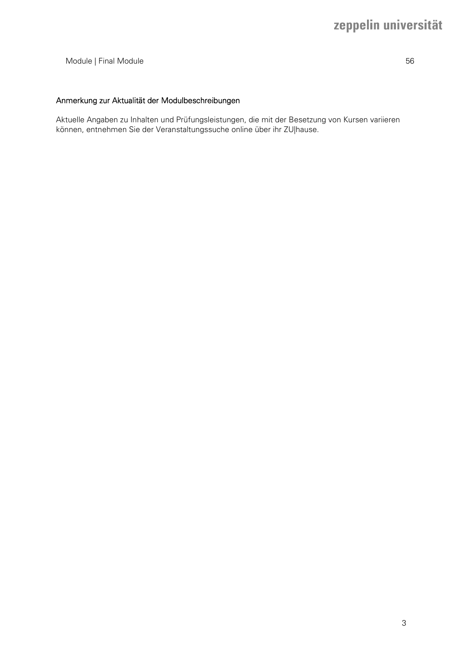#### Module | Final Module 56

#### Anmerkung zur Aktualität der Modulbeschreibungen

Aktuelle Angaben zu Inhalten und Prüfungsleistungen, die mit der Besetzung von Kursen variieren können, entnehmen Sie der Veranstaltungssuche online über ihr ZU|hause.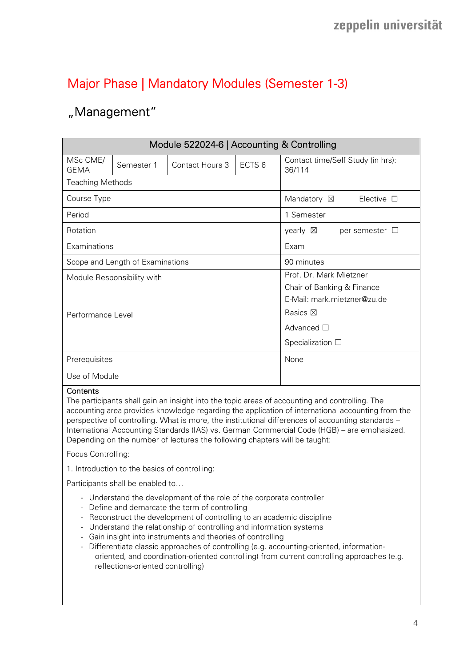## Major Phase | Mandatory Modules (Semester 1-3)

## "Management"

|                                  |                            | Module 522024-6   Accounting & Controlling |                          |                                             |
|----------------------------------|----------------------------|--------------------------------------------|--------------------------|---------------------------------------------|
| MSc CME/<br><b>GEMA</b>          | Semester 1                 | Contact Hours 3                            | ECTS <sub>6</sub>        | Contact time/Self Study (in hrs):<br>36/114 |
| <b>Teaching Methods</b>          |                            |                                            |                          |                                             |
| Course Type                      |                            |                                            |                          | Mandatory $\boxtimes$<br>Elective $\square$ |
| Period                           |                            |                                            |                          | 1 Semester                                  |
| Rotation                         |                            |                                            |                          | yearly $\boxtimes$<br>per semester $\Box$   |
| Examinations                     |                            |                                            |                          | Exam                                        |
| Scope and Length of Examinations |                            |                                            |                          | 90 minutes                                  |
|                                  | Module Responsibility with |                                            |                          | Prof. Dr. Mark Mietzner                     |
|                                  |                            |                                            |                          | Chair of Banking & Finance                  |
|                                  |                            |                                            |                          | E-Mail: mark.mietzner@zu.de                 |
| Performance Level                |                            |                                            |                          | Basics $\boxtimes$                          |
|                                  |                            |                                            |                          | Advanced $\Box$                             |
|                                  |                            |                                            | Specialization $\square$ |                                             |
| Prerequisites                    |                            |                                            | None                     |                                             |
| Use of Module                    |                            |                                            |                          |                                             |
| $\sim$ $\sim$ $\sim$             |                            |                                            |                          |                                             |

#### **Contents**

The participants shall gain an insight into the topic areas of accounting and controlling. The accounting area provides knowledge regarding the application of international accounting from the perspective of controlling. What is more, the institutional differences of accounting standards – International Accounting Standards (IAS) vs. German Commercial Code (HGB) – are emphasized. Depending on the number of lectures the following chapters will be taught:

Focus Controlling:

1. Introduction to the basics of controlling:

Participants shall be enabled to…

- Understand the development of the role of the corporate controller
- Define and demarcate the term of controlling
- Reconstruct the development of controlling to an academic discipline
- Understand the relationship of controlling and information systems
- Gain insight into instruments and theories of controlling
- Differentiate classic approaches of controlling (e.g. accounting-oriented, informationoriented, and coordination-oriented controlling) from current controlling approaches (e.g. reflections-oriented controlling)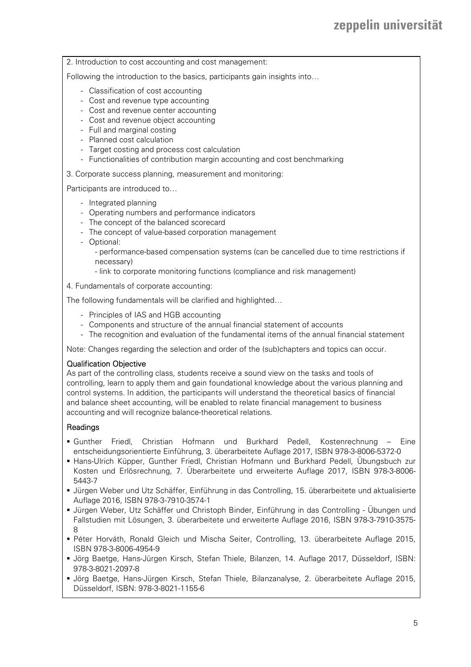2. Introduction to cost accounting and cost management:

Following the introduction to the basics, participants gain insights into...

- Classification of cost accounting
- Cost and revenue type accounting
- Cost and revenue center accounting
- Cost and revenue object accounting
- Full and marginal costing
- Planned cost calculation
- Target costing and process cost calculation
- Functionalities of contribution margin accounting and cost benchmarking
- 3. Corporate success planning, measurement and monitoring:

Participants are introduced to…

- Integrated planning
- Operating numbers and performance indicators
- The concept of the balanced scorecard
- The concept of value-based corporation management
- Optional:

- performance-based compensation systems (can be cancelled due to time restrictions if necessary)

- link to corporate monitoring functions (compliance and risk management)
- 4. Fundamentals of corporate accounting:

The following fundamentals will be clarified and highlighted…

- Principles of IAS and HGB accounting
- Components and structure of the annual financial statement of accounts
- The recognition and evaluation of the fundamental items of the annual financial statement

Note: Changes regarding the selection and order of the (sub)chapters and topics can occur.

#### Qualification Objective

As part of the controlling class, students receive a sound view on the tasks and tools of controlling, learn to apply them and gain foundational knowledge about the various planning and control systems. In addition, the participants will understand the theoretical basics of financial and balance sheet accounting, will be enabled to relate financial management to business accounting and will recognize balance-theoretical relations.

#### Readings

- Gunther Friedl, Christian Hofmann und Burkhard Pedell, Kostenrechnung Eine entscheidungsorientierte Einführung, 3. überarbeitete Auflage 2017, ISBN 978-3-8006-5372-0
- Hans-Ulrich Küpper, Gunther Friedl, Christian Hofmann und Burkhard Pedell, Übungsbuch zur Kosten und Erlösrechnung, 7. Überarbeitete und erweiterte Auflage 2017, ISBN 978-3-8006- 5443-7
- Jürgen Weber und Utz Schäffer, Einführung in das Controlling, 15. überarbeitete und aktualisierte Auflage 2016, ISBN 978-3-7910-3574-1
- Jürgen Weber, Utz Schäffer und Christoph Binder, Einführung in das Controlling Übungen und Fallstudien mit Lösungen, 3. überarbeitete und erweiterte Auflage 2016, ISBN 978-3-7910-3575- 8
- Péter Horváth, Ronald Gleich und Mischa Seiter, Controlling, 13. überarbeitete Auflage 2015, ISBN 978-3-8006-4954-9
- Jörg Baetge, Hans-Jürgen Kirsch, Stefan Thiele, Bilanzen, 14. Auflage 2017, Düsseldorf, ISBN: 978-3-8021-2097-8
- Jörg Baetge, Hans-Jürgen Kirsch, Stefan Thiele, Bilanzanalyse, 2. überarbeitete Auflage 2015, Düsseldorf, ISBN: 978-3-8021-1155-6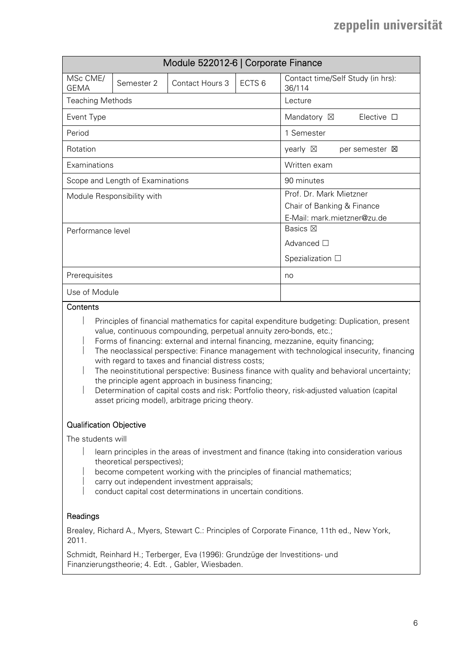|                                                                                             |                            |                 | Module 522012-6   Corporate Finance |                                                |  |  |  |
|---------------------------------------------------------------------------------------------|----------------------------|-----------------|-------------------------------------|------------------------------------------------|--|--|--|
| MSc CME/<br><b>GEMA</b>                                                                     | Semester 2                 | Contact Hours 3 | ECTS <sub>6</sub>                   | Contact time/Self Study (in hrs):<br>36/114    |  |  |  |
| <b>Teaching Methods</b>                                                                     |                            |                 |                                     | Lecture                                        |  |  |  |
| Event Type                                                                                  |                            |                 |                                     | Mandatory ⊠<br>Elective $\square$              |  |  |  |
| Period                                                                                      |                            |                 |                                     | 1 Semester                                     |  |  |  |
| Rotation                                                                                    |                            |                 |                                     | yearly $\boxtimes$<br>per semester $\boxtimes$ |  |  |  |
| Examinations                                                                                |                            |                 |                                     | Written exam                                   |  |  |  |
| Scope and Length of Examinations                                                            |                            |                 |                                     | 90 minutes                                     |  |  |  |
|                                                                                             | Module Responsibility with |                 |                                     | Prof. Dr. Mark Mietzner                        |  |  |  |
|                                                                                             |                            |                 |                                     | Chair of Banking & Finance                     |  |  |  |
|                                                                                             |                            |                 |                                     | E-Mail: mark.mietzner@zu.de                    |  |  |  |
| Performance level                                                                           |                            |                 |                                     | <b>Basics</b> ⊠                                |  |  |  |
|                                                                                             |                            |                 |                                     | Advanced $\square$                             |  |  |  |
|                                                                                             |                            |                 | Spezialization $\Box$               |                                                |  |  |  |
| Prerequisites                                                                               |                            |                 | no                                  |                                                |  |  |  |
| Use of Module                                                                               |                            |                 |                                     |                                                |  |  |  |
| Contents                                                                                    |                            |                 |                                     |                                                |  |  |  |
| Principles of financial mathematics for capital expenditure budgeting: Duplication, present |                            |                 |                                     |                                                |  |  |  |
| value continuous compounding perpetual appuity zero bonde oto :                             |                            |                 |                                     |                                                |  |  |  |

- value, continuous compounding, perpetual annuity zero-bonds, etc.; Forms of financing: external and internal financing, mezzanine, equity financing;
- The neoclassical perspective: Finance management with technological insecurity, financing with regard to taxes and financial distress costs;
- The neoinstitutional perspective: Business finance with quality and behavioral uncertainty; the principle agent approach in business financing;
- Determination of capital costs and risk: Portfolio theory, risk-adjusted valuation (capital asset pricing model), arbitrage pricing theory.

### Qualification Objective

The students will

- learn principles in the areas of investment and finance (taking into consideration various theoretical perspectives);
- become competent working with the principles of financial mathematics;
- carry out independent investment appraisals;
- conduct capital cost determinations in uncertain conditions.

#### Readings

Brealey, Richard A., Myers, Stewart C.: Principles of Corporate Finance, 11th ed., New York, 2011.

Schmidt, Reinhard H.; Terberger, Eva (1996): Grundzüge der Investitions- und Finanzierungstheorie; 4. Edt. , Gabler, Wiesbaden.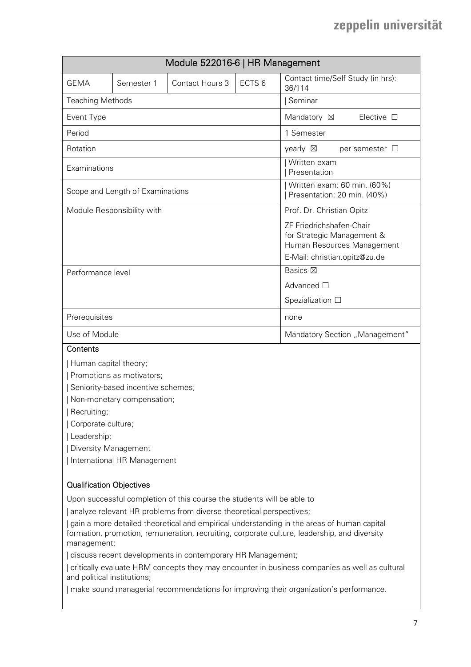| Module 522016-6   HR Management  |                            |                        |                                                            |                                                                                                                       |
|----------------------------------|----------------------------|------------------------|------------------------------------------------------------|-----------------------------------------------------------------------------------------------------------------------|
| <b>GEMA</b>                      | Semester 1                 | <b>Contact Hours 3</b> | ECTS <sub>6</sub>                                          | Contact time/Self Study (in hrs):<br>36/114                                                                           |
| <b>Teaching Methods</b>          |                            |                        |                                                            | Seminar                                                                                                               |
| Event Type                       |                            |                        |                                                            | Mandatory $\boxtimes$<br>Elective $\square$                                                                           |
| Period                           |                            |                        |                                                            | 1 Semester                                                                                                            |
| Rotation                         |                            |                        |                                                            | yearly $\boxtimes$<br>per semester $\Box$                                                                             |
| Examinations                     |                            |                        |                                                            | Written exam<br>Presentation                                                                                          |
| Scope and Length of Examinations |                            |                        | Written exam: 60 min. (60%)<br>Presentation: 20 min. (40%) |                                                                                                                       |
|                                  | Module Responsibility with |                        |                                                            | Prof. Dr. Christian Opitz                                                                                             |
|                                  |                            |                        |                                                            | ZF Friedrichshafen-Chair<br>for Strategic Management &<br>Human Resources Management<br>E-Mail: christian.opitz@zu.de |
| Performance level                |                            |                        |                                                            | Basics $\boxtimes$                                                                                                    |
|                                  |                            |                        | Advanced □                                                 |                                                                                                                       |
|                                  |                            |                        | Spezialization □                                           |                                                                                                                       |
| Prerequisites                    |                            |                        | none                                                       |                                                                                                                       |
| Use of Module                    |                            |                        |                                                            | Mandatory Section "Management"                                                                                        |
| $\cap$ ontonto                   |                            |                        |                                                            |                                                                                                                       |

#### **Contents**

| Human capital theory;

| Promotions as motivators;

| Seniority-based incentive schemes;

| Non-monetary compensation;

| Recruiting;

| Corporate culture;

| Leadership;

| Diversity Management

| International HR Management

#### Qualification Objectives

Upon successful completion of this course the students will be able to

| analyze relevant HR problems from diverse theoretical perspectives;

| gain a more detailed theoretical and empirical understanding in the areas of human capital formation, promotion, remuneration, recruiting, corporate culture, leadership, and diversity management;

| discuss recent developments in contemporary HR Management;

| critically evaluate HRM concepts they may encounter in business companies as well as cultural and political institutions;

| make sound managerial recommendations for improving their organization's performance.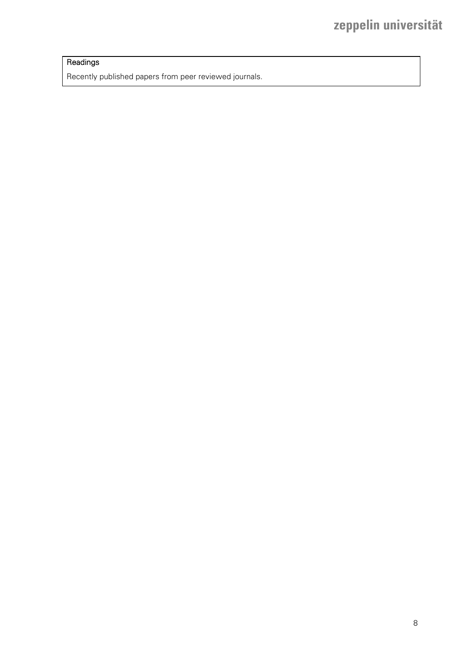## **Readings**

Recently published papers from peer reviewed journals.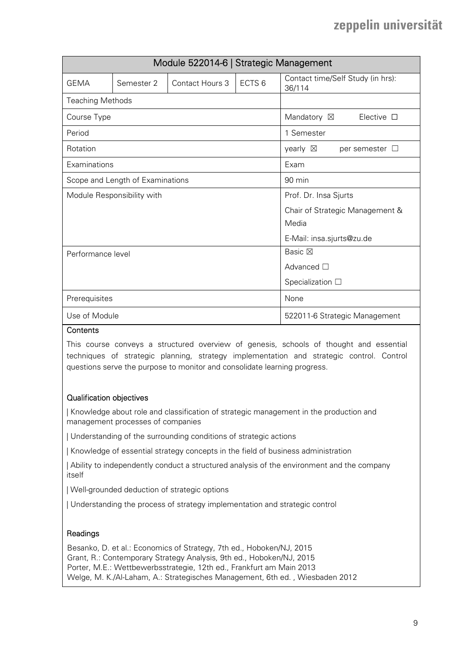|                                  |                            | Module 522014-6   Strategic Management |                          |                                             |
|----------------------------------|----------------------------|----------------------------------------|--------------------------|---------------------------------------------|
| <b>GEMA</b>                      | Semester 2                 | Contact Hours 3                        | ECTS <sub>6</sub>        | Contact time/Self Study (in hrs):<br>36/114 |
| <b>Teaching Methods</b>          |                            |                                        |                          |                                             |
| Course Type                      |                            |                                        |                          | Elective $\square$<br>Mandatory $\boxtimes$ |
| Period                           |                            |                                        |                          | 1 Semester                                  |
| Rotation                         |                            |                                        |                          | yearly $\boxtimes$<br>per semester $\Box$   |
| Examinations                     |                            |                                        |                          | Exam                                        |
| Scope and Length of Examinations |                            |                                        |                          | 90 min                                      |
|                                  | Module Responsibility with |                                        |                          | Prof. Dr. Insa Sjurts                       |
|                                  |                            |                                        |                          | Chair of Strategic Management &             |
|                                  |                            |                                        |                          | Media                                       |
|                                  |                            |                                        |                          | E-Mail: insa.sjurts@zu.de                   |
| Performance level                |                            |                                        |                          | Basic $\boxtimes$                           |
|                                  |                            |                                        | Advanced $\square$       |                                             |
|                                  |                            |                                        | Specialization $\square$ |                                             |
| Prerequisites                    |                            |                                        | None                     |                                             |
| Use of Module                    |                            |                                        |                          | 522011-6 Strategic Management               |

#### **Contents**

This course conveys a structured overview of genesis, schools of thought and essential techniques of strategic planning, strategy implementation and strategic control. Control questions serve the purpose to monitor and consolidate learning progress.

### Qualification objectives

| Knowledge about role and classification of strategic management in the production and management processes of companies

| Understanding of the surrounding conditions of strategic actions

| Knowledge of essential strategy concepts in the field of business administration

| Ability to independently conduct a structured analysis of the environment and the company itself

| Well-grounded deduction of strategic options

| Understanding the process of strategy implementation and strategic control

#### Readings

Besanko, D. et al.: Economics of Strategy, 7th ed., Hoboken/NJ, 2015 Grant, R.: Contemporary Strategy Analysis, 9th ed., Hoboken/NJ, 2015 Porter, M.E.: Wettbewerbsstrategie, 12th ed., Frankfurt am Main 2013 Welge, M. K./Al-Laham, A.: Strategisches Management, 6th ed. , Wiesbaden 2012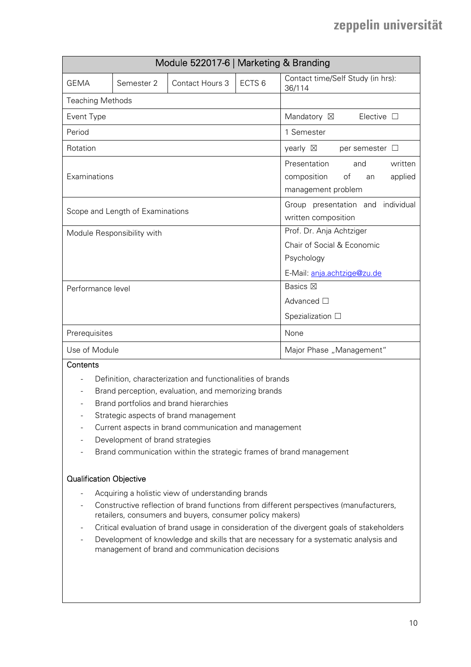| Module 522017-6   Marketing & Branding |            |                 |                                                                                                     |                                                          |
|----------------------------------------|------------|-----------------|-----------------------------------------------------------------------------------------------------|----------------------------------------------------------|
| <b>GEMA</b>                            | Semester 2 | Contact Hours 3 | ECTS <sub>6</sub>                                                                                   | Contact time/Self Study (in hrs):<br>36/114              |
| <b>Teaching Methods</b>                |            |                 |                                                                                                     |                                                          |
| Event Type                             |            |                 |                                                                                                     | Mandatory ⊠<br>Elective $\Box$                           |
| Period                                 |            |                 |                                                                                                     | 1 Semester                                               |
| Rotation                               |            |                 |                                                                                                     | yearly $\boxtimes$<br>per semester $\Box$                |
| Examinations                           |            |                 | Presentation<br>written<br>and<br>of<br>composition<br>applied<br>an<br>management problem          |                                                          |
| Scope and Length of Examinations       |            |                 |                                                                                                     | Group presentation and individual<br>written composition |
| Module Responsibility with             |            |                 | Prof. Dr. Anja Achtziger<br>Chair of Social & Economic<br>Psychology<br>E-Mail: anja.achtzige@zu.de |                                                          |
| Performance level                      |            |                 |                                                                                                     | Basics $\boxtimes$                                       |
|                                        |            |                 | Advanced $\square$                                                                                  |                                                          |
|                                        |            |                 | Spezialization $\square$                                                                            |                                                          |
| Prerequisites                          |            |                 | None                                                                                                |                                                          |
| Use of Module                          |            |                 |                                                                                                     | Major Phase "Management"                                 |

### **Contents**

- Definition, characterization and functionalities of brands
- Brand perception, evaluation, and memorizing brands
- Brand portfolios and brand hierarchies
- Strategic aspects of brand management
- Current aspects in brand communication and management
- Development of brand strategies
- Brand communication within the strategic frames of brand management

#### Qualification Objective

- Acquiring a holistic view of understanding brands
- Constructive reflection of brand functions from different perspectives (manufacturers, retailers, consumers and buyers, consumer policy makers)
- Critical evaluation of brand usage in consideration of the divergent goals of stakeholders
- Development of knowledge and skills that are necessary for a systematic analysis and management of brand and communication decisions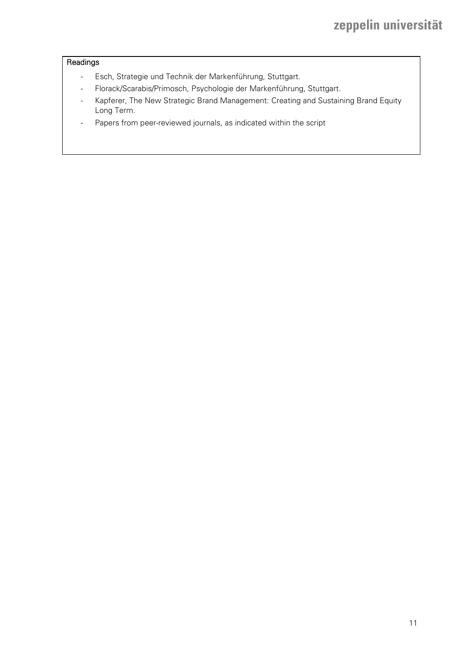## Readings

- Esch, Strategie und Technik der Markenführung, Stuttgart.
- Florack/Scarabis/Primosch, Psychologie der Markenführung, Stuttgart.
- Kapferer, The New Strategic Brand Management: Creating and Sustaining Brand Equity Long Term.
- Papers from peer-reviewed journals, as indicated within the script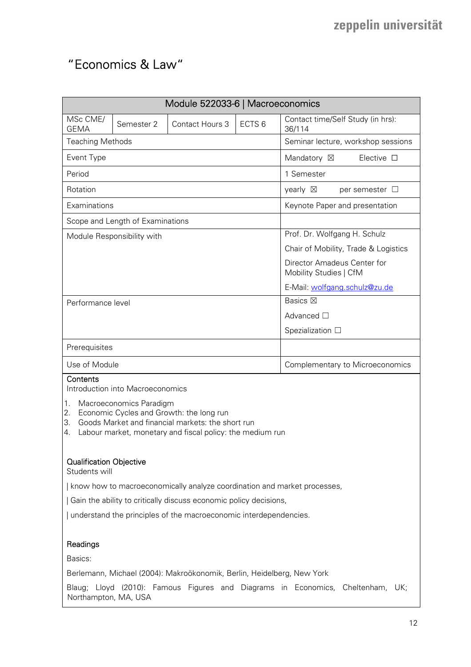## "Economics & Law"

| Module 522033-6   Macroeconomics                                         |                                                    |                                                                                                                                                            |  |                                                       |
|--------------------------------------------------------------------------|----------------------------------------------------|------------------------------------------------------------------------------------------------------------------------------------------------------------|--|-------------------------------------------------------|
| MSc CME/<br><b>GEMA</b>                                                  | Contact Hours 3<br>ECTS <sub>6</sub><br>Semester 2 |                                                                                                                                                            |  | Contact time/Self Study (in hrs):<br>36/114           |
| <b>Teaching Methods</b>                                                  |                                                    |                                                                                                                                                            |  | Seminar lecture, workshop sessions                    |
| Event Type                                                               |                                                    |                                                                                                                                                            |  | Elective $\square$<br>Mandatory $\boxtimes$           |
| Period                                                                   |                                                    |                                                                                                                                                            |  | 1 Semester                                            |
| Rotation                                                                 |                                                    |                                                                                                                                                            |  | yearly $\boxtimes$<br>per semester $\Box$             |
| Examinations                                                             |                                                    |                                                                                                                                                            |  | Keynote Paper and presentation                        |
|                                                                          | Scope and Length of Examinations                   |                                                                                                                                                            |  |                                                       |
|                                                                          | Module Responsibility with                         |                                                                                                                                                            |  | Prof. Dr. Wolfgang H. Schulz                          |
|                                                                          |                                                    |                                                                                                                                                            |  | Chair of Mobility, Trade & Logistics                  |
|                                                                          |                                                    |                                                                                                                                                            |  | Director Amadeus Center for<br>Mobility Studies   CfM |
|                                                                          |                                                    |                                                                                                                                                            |  | E-Mail: wolfgang.schulz@zu.de                         |
| Performance level                                                        |                                                    |                                                                                                                                                            |  | <b>Basics</b> ⊠                                       |
|                                                                          |                                                    |                                                                                                                                                            |  | Advanced $\square$                                    |
|                                                                          |                                                    |                                                                                                                                                            |  | Spezialization $\square$                              |
| Prerequisites                                                            |                                                    |                                                                                                                                                            |  |                                                       |
| Use of Module                                                            |                                                    |                                                                                                                                                            |  | Complementary to Microeconomics                       |
| Contents                                                                 | Introduction into Macroeconomics                   |                                                                                                                                                            |  |                                                       |
| 1.<br>2.<br>3.<br>4.                                                     | Macroeconomics Paradigm                            | Economic Cycles and Growth: the long run<br>Goods Market and financial markets: the short run<br>Labour market, monetary and fiscal policy: the medium run |  |                                                       |
| <b>Qualification Objective</b><br>Students will                          |                                                    |                                                                                                                                                            |  |                                                       |
| know how to macroeconomically analyze coordination and market processes, |                                                    |                                                                                                                                                            |  |                                                       |
| Gain the ability to critically discuss economic policy decisions,        |                                                    |                                                                                                                                                            |  |                                                       |
| understand the principles of the macroeconomic interdependencies.        |                                                    |                                                                                                                                                            |  |                                                       |
| Readings                                                                 |                                                    |                                                                                                                                                            |  |                                                       |
| Basics:                                                                  |                                                    |                                                                                                                                                            |  |                                                       |
|                                                                          |                                                    | Berlemann, Michael (2004): Makroökonomik, Berlin, Heidelberg, New York                                                                                     |  |                                                       |

Blaug; Lloyd (2010): Famous Figures and Diagrams in Economics, Cheltenham, UK; Northampton, MA, USA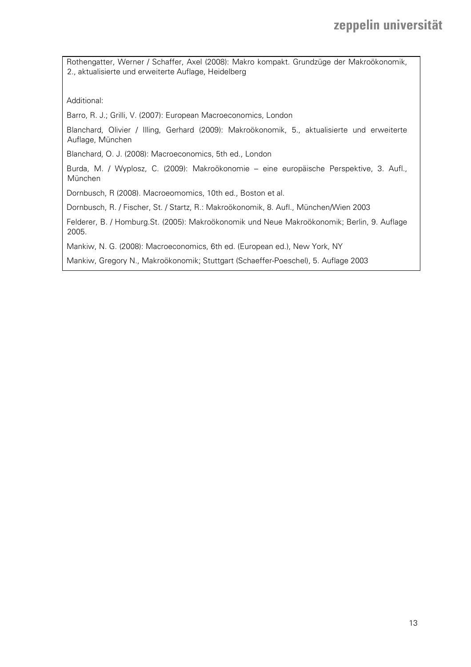Rothengatter, Werner / Schaffer, Axel (2008): Makro kompakt. Grundzüge der Makroökonomik, 2., aktualisierte und erweiterte Auflage, Heidelberg

Additional:

Barro, R. J.; Grilli, V. (2007): European Macroeconomics, London

Blanchard, Olivier / Illing, Gerhard (2009): Makroökonomik, 5., aktualisierte und erweiterte Auflage, München

Blanchard, O. J. (2008): Macroeconomics, 5th ed., London

Burda, M. / Wyplosz, C. (2009): Makroökonomie – eine europäische Perspektive, 3. Aufl., München

Dornbusch, R (2008). Macroeomomics, 10th ed., Boston et al.

Dornbusch, R. / Fischer, St. / Startz, R.: Makroökonomik, 8. Aufl., München/Wien 2003

Felderer, B. / Homburg.St. (2005): Makroökonomik und Neue Makroökonomik; Berlin, 9. Auflage 2005.

Mankiw, N. G. (2008): Macroeconomics, 6th ed. (European ed.), New York, NY

Mankiw, Gregory N., Makroökonomik; Stuttgart (Schaeffer-Poeschel), 5. Auflage 2003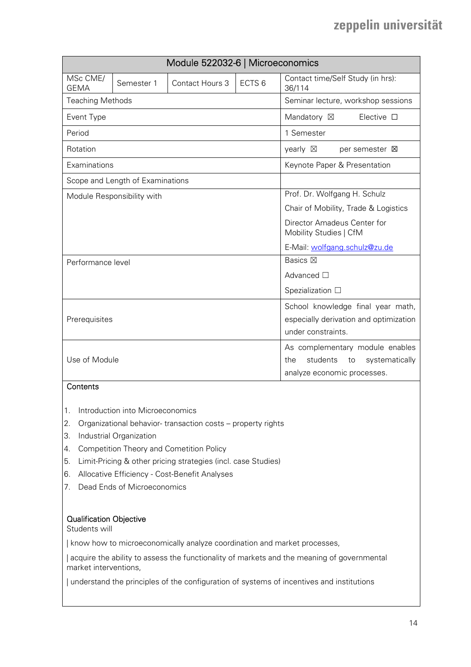|                         |                                  | Module 522032-6   Microeconomics |                                        |                                                       |
|-------------------------|----------------------------------|----------------------------------|----------------------------------------|-------------------------------------------------------|
| MSc CME/<br><b>GEMA</b> | Semester 1                       | Contact Hours 3                  | ECTS <sub>6</sub>                      | Contact time/Self Study (in hrs):<br>36/114           |
| <b>Teaching Methods</b> |                                  |                                  |                                        | Seminar lecture, workshop sessions                    |
| Event Type              |                                  |                                  |                                        | Elective $\square$<br>Mandatory ⊠                     |
| Period                  |                                  |                                  |                                        | 1 Semester                                            |
| Rotation                |                                  |                                  |                                        | yearly $\boxtimes$<br>per semester <b>区</b>           |
| Examinations            |                                  |                                  |                                        | Keynote Paper & Presentation                          |
|                         | Scope and Length of Examinations |                                  |                                        |                                                       |
|                         | Module Responsibility with       |                                  |                                        | Prof. Dr. Wolfgang H. Schulz                          |
|                         |                                  |                                  |                                        | Chair of Mobility, Trade & Logistics                  |
|                         |                                  |                                  |                                        | Director Amadeus Center for<br>Mobility Studies   CfM |
|                         |                                  | E-Mail: wolfgang.schulz@zu.de    |                                        |                                                       |
| Performance level       |                                  |                                  |                                        | Basics $\boxtimes$                                    |
|                         |                                  |                                  |                                        | Advanced $\Box$                                       |
|                         |                                  |                                  |                                        | Spezialization $\square$                              |
|                         |                                  |                                  |                                        | School knowledge final year math,                     |
| Prerequisites           |                                  |                                  | especially derivation and optimization |                                                       |
|                         |                                  |                                  |                                        | under constraints.                                    |
|                         |                                  |                                  |                                        | As complementary module enables                       |
| Use of Module           |                                  |                                  |                                        | students<br>the<br>systematically<br>to               |
|                         |                                  |                                  |                                        | analyze economic processes.                           |

## Contents

- 1. Introduction into Microeconomics
- 2. Organizational behavior- transaction costs property rights
- 3. Industrial Organization
- 4. Competition Theory and Cometition Policy
- 5. Limit-Pricing & other pricing strategies (incl. case Studies)
- 6. Allocative Efficiency Cost-Benefit Analyses
- 7. Dead Ends of Microeconomics

#### Qualification Objective

Students will

| know how to microeconomically analyze coordination and market processes,

| acquire the ability to assess the functionality of markets and the meaning of governmental market interventions,

| understand the principles of the configuration of systems of incentives and institutions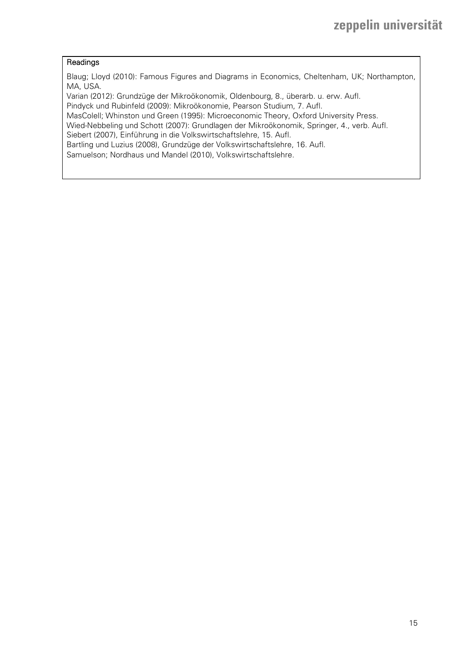#### Readings

Blaug; Lloyd (2010): Famous Figures and Diagrams in Economics, Cheltenham, UK; Northampton, MA, USA.

Varian (2012): Grundzüge der Mikroökonomik, Oldenbourg, 8., überarb. u. erw. Aufl.

Pindyck und Rubinfeld (2009): Mikroökonomie, Pearson Studium, 7. Aufl.

MasColell; Whinston und Green (1995): Microeconomic Theory, Oxford University Press.

Wied-Nebbeling und Schott (2007): Grundlagen der Mikroökonomik, Springer, 4., verb. Aufl. Siebert (2007), Einführung in die Volkswirtschaftslehre, 15. Aufl.

Bartling und Luzius (2008), Grundzüge der Volkswirtschaftslehre, 16. Aufl.

Samuelson; Nordhaus und Mandel (2010), Volkswirtschaftslehre.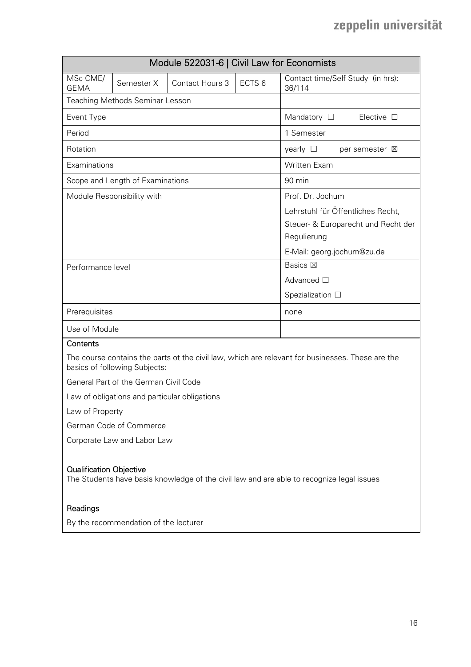|                         |                                        | Module 522031-6   Civil Law for Economists |                          |                                             |
|-------------------------|----------------------------------------|--------------------------------------------|--------------------------|---------------------------------------------|
| MSc CME/<br><b>GEMA</b> | Semester X                             | <b>Contact Hours 3</b>                     | ECTS <sub>6</sub>        | Contact time/Self Study (in hrs):<br>36/114 |
|                         | <b>Teaching Methods Seminar Lesson</b> |                                            |                          |                                             |
| Event Type              |                                        |                                            |                          | Mandatory $\square$<br>Elective $\square$   |
| Period                  |                                        |                                            |                          | 1 Semester                                  |
| Rotation                |                                        |                                            |                          | yearly $\Box$<br>per semester $\boxtimes$   |
| Examinations            |                                        |                                            |                          | <b>Written Exam</b>                         |
|                         | Scope and Length of Examinations       |                                            |                          | 90 min                                      |
|                         | Module Responsibility with             |                                            |                          | Prof. Dr. Jochum                            |
|                         |                                        |                                            |                          | Lehrstuhl für Öffentliches Recht,           |
|                         |                                        |                                            |                          | Steuer- & Europarecht und Recht der         |
|                         |                                        |                                            |                          | Regulierung                                 |
|                         |                                        |                                            |                          | E-Mail: georg.jochum@zu.de                  |
| Performance level       |                                        |                                            |                          | Basics $\boxtimes$                          |
|                         |                                        |                                            |                          | Advanced $\square$                          |
|                         |                                        |                                            | Spezialization $\square$ |                                             |
| Prerequisites           |                                        |                                            | none                     |                                             |
|                         | Use of Module                          |                                            |                          |                                             |
| Contents                |                                        |                                            |                          |                                             |

The course contains the parts ot the civil law, which are relevant for businesses. These are the basics of following Subjects:

General Part of the German Civil Code

Law of obligations and particular obligations

Law of Property

German Code of Commerce

Corporate Law and Labor Law

#### Qualification Objective

The Students have basis knowledge of the civil law and are able to recognize legal issues

#### **Readings**

By the recommendation of the lecturer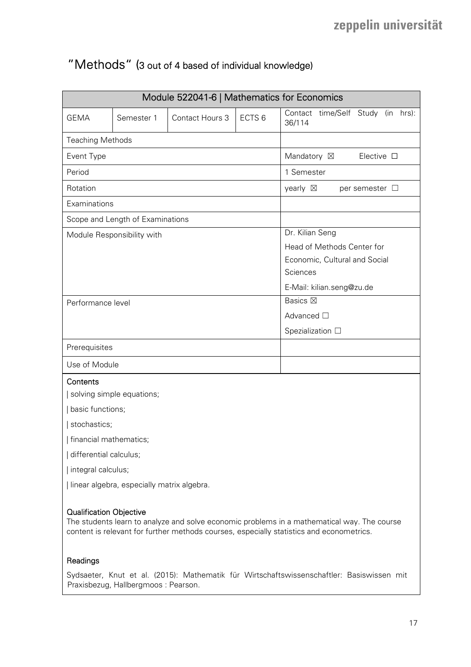## "Methods" (3 out of 4 based of individual knowledge)

|                                                                                                                                                                                                                           |                                                    | Module 522041-6   Mathematics for Economics |  |                                             |
|---------------------------------------------------------------------------------------------------------------------------------------------------------------------------------------------------------------------------|----------------------------------------------------|---------------------------------------------|--|---------------------------------------------|
| <b>GEMA</b>                                                                                                                                                                                                               | Contact Hours 3<br>ECTS <sub>6</sub><br>Semester 1 |                                             |  | Contact time/Self Study (in hrs):<br>36/114 |
| <b>Teaching Methods</b>                                                                                                                                                                                                   |                                                    |                                             |  |                                             |
| Event Type                                                                                                                                                                                                                |                                                    |                                             |  | Mandatory ⊠<br>Elective $\square$           |
| Period                                                                                                                                                                                                                    |                                                    |                                             |  | 1 Semester                                  |
| Rotation                                                                                                                                                                                                                  |                                                    |                                             |  | yearly $\boxtimes$<br>per semester $\Box$   |
| Examinations                                                                                                                                                                                                              |                                                    |                                             |  |                                             |
|                                                                                                                                                                                                                           | Scope and Length of Examinations                   |                                             |  |                                             |
|                                                                                                                                                                                                                           | Module Responsibility with                         |                                             |  | Dr. Kilian Seng                             |
|                                                                                                                                                                                                                           |                                                    |                                             |  | Head of Methods Center for                  |
|                                                                                                                                                                                                                           |                                                    |                                             |  | Economic, Cultural and Social<br>Sciences   |
|                                                                                                                                                                                                                           |                                                    |                                             |  | E-Mail: kilian.seng@zu.de                   |
| Performance level                                                                                                                                                                                                         |                                                    |                                             |  | <b>Basics</b> ⊠                             |
|                                                                                                                                                                                                                           |                                                    |                                             |  | Advanced □                                  |
|                                                                                                                                                                                                                           |                                                    |                                             |  | Spezialization $\square$                    |
| Prerequisites                                                                                                                                                                                                             |                                                    |                                             |  |                                             |
| Use of Module                                                                                                                                                                                                             |                                                    |                                             |  |                                             |
| Contents                                                                                                                                                                                                                  |                                                    |                                             |  |                                             |
|                                                                                                                                                                                                                           | solving simple equations;                          |                                             |  |                                             |
| basic functions;                                                                                                                                                                                                          |                                                    |                                             |  |                                             |
| stochastics;                                                                                                                                                                                                              |                                                    |                                             |  |                                             |
| financial mathematics;                                                                                                                                                                                                    |                                                    |                                             |  |                                             |
| differential calculus;                                                                                                                                                                                                    |                                                    |                                             |  |                                             |
| integral calculus;                                                                                                                                                                                                        |                                                    |                                             |  |                                             |
| I linear algebra, especially matrix algebra.                                                                                                                                                                              |                                                    |                                             |  |                                             |
| <b>Qualification Objective</b><br>The students learn to analyze and solve economic problems in a mathematical way. The course<br>content is relevant for further methods courses, especially statistics and econometrics. |                                                    |                                             |  |                                             |
| Readings                                                                                                                                                                                                                  |                                                    |                                             |  |                                             |

Sydsaeter, Knut et al. (2015): Mathematik für Wirtschaftswissenschaftler: Basiswissen mit Praxisbezug, Hallbergmoos : Pearson.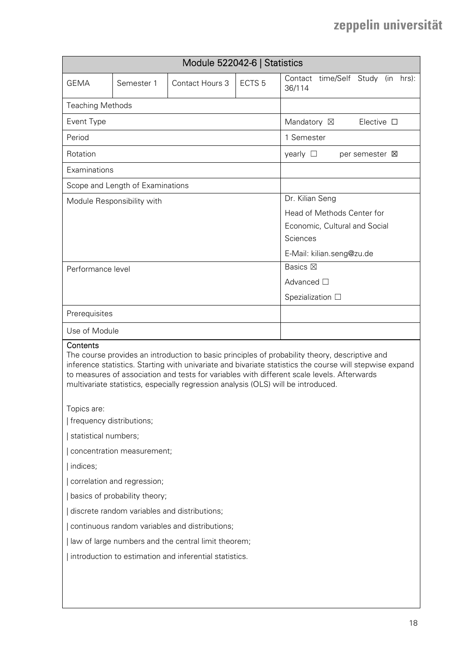| Module 522042-6   Statistics                                 |                                                                                                                                                                                                                                                                                                                                                                                              |  |  |                                                                                                                         |
|--------------------------------------------------------------|----------------------------------------------------------------------------------------------------------------------------------------------------------------------------------------------------------------------------------------------------------------------------------------------------------------------------------------------------------------------------------------------|--|--|-------------------------------------------------------------------------------------------------------------------------|
| <b>GEMA</b>                                                  | ECTS <sub>5</sub><br>Contact Hours 3<br>Semester 1                                                                                                                                                                                                                                                                                                                                           |  |  | Contact time/Self Study (in hrs):<br>36/114                                                                             |
| <b>Teaching Methods</b>                                      |                                                                                                                                                                                                                                                                                                                                                                                              |  |  |                                                                                                                         |
| Event Type                                                   |                                                                                                                                                                                                                                                                                                                                                                                              |  |  | Mandatory ⊠<br>Elective $\square$                                                                                       |
| Period                                                       |                                                                                                                                                                                                                                                                                                                                                                                              |  |  | 1 Semester                                                                                                              |
| Rotation                                                     |                                                                                                                                                                                                                                                                                                                                                                                              |  |  | yearly $\square$<br>per semester <b>区</b>                                                                               |
| Examinations                                                 |                                                                                                                                                                                                                                                                                                                                                                                              |  |  |                                                                                                                         |
|                                                              | Scope and Length of Examinations                                                                                                                                                                                                                                                                                                                                                             |  |  |                                                                                                                         |
|                                                              | Module Responsibility with                                                                                                                                                                                                                                                                                                                                                                   |  |  | Dr. Kilian Seng<br>Head of Methods Center for<br>Economic, Cultural and Social<br>Sciences<br>E-Mail: kilian.seng@zu.de |
| Performance level                                            |                                                                                                                                                                                                                                                                                                                                                                                              |  |  | <b>Basics</b> ⊠                                                                                                         |
|                                                              |                                                                                                                                                                                                                                                                                                                                                                                              |  |  | Advanced $\square$                                                                                                      |
|                                                              |                                                                                                                                                                                                                                                                                                                                                                                              |  |  | Spezialization $\square$                                                                                                |
| Prerequisites                                                |                                                                                                                                                                                                                                                                                                                                                                                              |  |  |                                                                                                                         |
| Use of Module                                                |                                                                                                                                                                                                                                                                                                                                                                                              |  |  |                                                                                                                         |
| Contents                                                     | The course provides an introduction to basic principles of probability theory, descriptive and<br>inference statistics. Starting with univariate and bivariate statistics the course will stepwise expand<br>to measures of association and tests for variables with different scale levels. Afterwards<br>multivariate statistics, especially regression analysis (OLS) will be introduced. |  |  |                                                                                                                         |
| Topics are:                                                  |                                                                                                                                                                                                                                                                                                                                                                                              |  |  |                                                                                                                         |
| frequency distributions;                                     |                                                                                                                                                                                                                                                                                                                                                                                              |  |  |                                                                                                                         |
| statistical numbers;                                         |                                                                                                                                                                                                                                                                                                                                                                                              |  |  |                                                                                                                         |
|                                                              | concentration measurement;                                                                                                                                                                                                                                                                                                                                                                   |  |  |                                                                                                                         |
| indices;                                                     |                                                                                                                                                                                                                                                                                                                                                                                              |  |  |                                                                                                                         |
| correlation and regression;<br>basics of probability theory; |                                                                                                                                                                                                                                                                                                                                                                                              |  |  |                                                                                                                         |
| discrete random variables and distributions;                 |                                                                                                                                                                                                                                                                                                                                                                                              |  |  |                                                                                                                         |
| continuous random variables and distributions;               |                                                                                                                                                                                                                                                                                                                                                                                              |  |  |                                                                                                                         |
| I law of large numbers and the central limit theorem;        |                                                                                                                                                                                                                                                                                                                                                                                              |  |  |                                                                                                                         |
| introduction to estimation and inferential statistics.       |                                                                                                                                                                                                                                                                                                                                                                                              |  |  |                                                                                                                         |
|                                                              |                                                                                                                                                                                                                                                                                                                                                                                              |  |  |                                                                                                                         |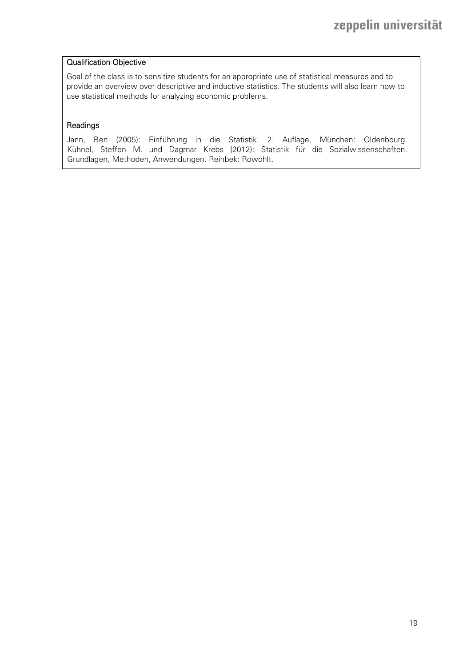#### Qualification Objective

Goal of the class is to sensitize students for an appropriate use of statistical measures and to provide an overview over descriptive and inductive statistics. The students will also learn how to use statistical methods for analyzing economic problems.

#### Readings

Jann, Ben (2005): Einführung in die Statistik. 2. Auflage, München: Oldenbourg. Kühnel, Steffen M. und Dagmar Krebs (2012): Statistik für die Sozialwissenschaften. Grundlagen, Methoden, Anwendungen. Reinbek: Rowohlt.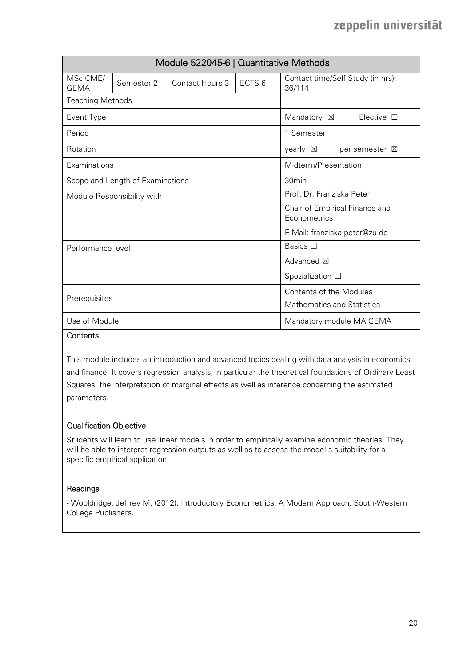| Module 522045-6   Quantitative Methods |                                  |                 |                          |                                                |
|----------------------------------------|----------------------------------|-----------------|--------------------------|------------------------------------------------|
| MSc CME/<br><b>GEMA</b>                | Semester 2                       | Contact Hours 3 | ECTS <sub>6</sub>        | Contact time/Self Study (in hrs):<br>36/114    |
| <b>Teaching Methods</b>                |                                  |                 |                          |                                                |
| Event Type                             |                                  |                 |                          | Mandatory ⊠<br>Elective $\square$              |
| Period                                 |                                  |                 |                          | 1 Semester                                     |
| Rotation                               |                                  |                 |                          | yearly $\boxtimes$<br>per semester <b>X</b>    |
| Examinations                           |                                  |                 |                          | Midterm/Presentation                           |
|                                        | Scope and Length of Examinations |                 |                          | 30 <sub>min</sub>                              |
|                                        | Module Responsibility with       |                 |                          | Prof. Dr. Franziska Peter                      |
|                                        |                                  |                 |                          | Chair of Empirical Finance and<br>Econometrics |
|                                        |                                  |                 |                          | E-Mail: franziska.peter@zu.de                  |
| Performance level                      |                                  |                 |                          | Basics $\square$                               |
|                                        |                                  |                 |                          | Advanced $\boxtimes$                           |
|                                        |                                  |                 | Spezialization $\square$ |                                                |
| Prerequisites                          |                                  |                 | Contents of the Modules  |                                                |
|                                        |                                  |                 |                          | <b>Mathematics and Statistics</b>              |
| Use of Module                          |                                  |                 |                          | Mandatory module MA GEMA                       |

### **Contents**

This module includes an introduction and advanced topics dealing with data analysis in economics and finance. It covers regression analysis, in particular the theoretical foundations of Ordinary Least Squares, the interpretation of marginal effects as well as inference concerning the estimated parameters.

### Qualification Objective

Students will learn to use linear models in order to empirically examine economic theories. They will be able to interpret regression outputs as well as to assess the model's suitability for a specific empirical application.

#### Readings

- Wooldridge, Jeffrey M. (2012): Introductory Econometrics: A Modern Approach. South-Western College Publishers.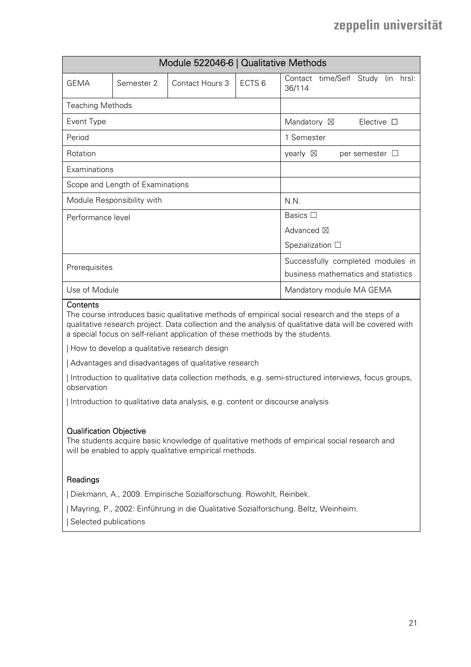| Module 522046-6   Qualitative Methods |                            |                 |                                                                          |                                                         |
|---------------------------------------|----------------------------|-----------------|--------------------------------------------------------------------------|---------------------------------------------------------|
| GFMA                                  | Semester 2                 | Contact Hours 3 | ECTS <sub>6</sub>                                                        | time/Self<br>hrs):<br>Contact<br>Study<br>(in<br>36/114 |
| <b>Teaching Methods</b>               |                            |                 |                                                                          |                                                         |
| Event Type                            |                            |                 |                                                                          | Mandatory $\boxtimes$<br>Elective $\Box$                |
| Period                                |                            |                 |                                                                          | 1 Semester                                              |
| Rotation                              |                            |                 | yearly $\boxtimes$<br>per semester $\Box$                                |                                                         |
| Examinations                          |                            |                 |                                                                          |                                                         |
| Scope and Length of Examinations      |                            |                 |                                                                          |                                                         |
|                                       | Module Responsibility with |                 |                                                                          | N.N.                                                    |
| Performance level                     |                            |                 |                                                                          | Basics $\Box$                                           |
|                                       |                            |                 |                                                                          | Advanced $\boxtimes$                                    |
|                                       |                            |                 | Spezialization $\square$                                                 |                                                         |
| Prerequisites                         |                            |                 | Successfully completed modules in<br>business mathematics and statistics |                                                         |
| Use of Module                         |                            |                 |                                                                          | Mandatory module MA GEMA                                |

#### **Contents**

The course introduces basic qualitative methods of empirical social research and the steps of a qualitative research project. Data collection and the analysis of qualitative data will be covered with a special focus on self-reliant application of these methods by the students.

| How to develop a qualitative research design

| Advantages and disadvantages of qualitative research

| Introduction to qualitative data collection methods, e.g. semi-structured interviews, focus groups, observation

| Introduction to qualitative data analysis, e.g. content or discourse analysis

#### Qualification Objective

The students acquire basic knowledge of qualitative methods of empirical social research and will be enabled to apply qualitative empirical methods.

#### Readings

| Diekmann, A., 2009. Empirische Sozialforschung. Rowohlt, Reinbek.

| Mayring, P., 2002: Einführung in die Qualitative Sozialforschung. Beltz, Weinheim. | Selected publications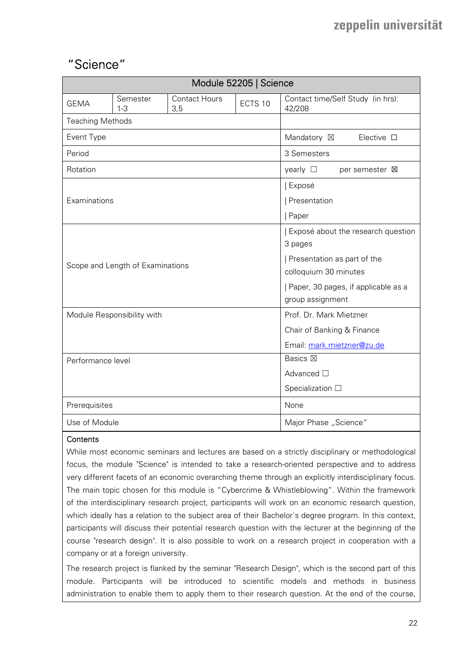## "Science"

| Module 52205   Science  |                                  |                             |            |                                              |
|-------------------------|----------------------------------|-----------------------------|------------|----------------------------------------------|
| <b>GEMA</b>             | Semester<br>$1 - 3$              | <b>Contact Hours</b><br>3,5 | ECTS 10    | Contact time/Self Study (in hrs):<br>42/208  |
| <b>Teaching Methods</b> |                                  |                             |            |                                              |
| Event Type              |                                  |                             |            | Mandatory ⊠<br>Elective $\square$            |
| Period                  |                                  |                             |            | 3 Semesters                                  |
| Rotation                |                                  |                             |            | yearly $\square$<br>per semester $\boxtimes$ |
|                         |                                  |                             |            | Exposé                                       |
| Examinations            |                                  |                             |            | Presentation                                 |
|                         |                                  |                             |            | Paper                                        |
|                         |                                  |                             |            | Exposé about the research question           |
|                         |                                  |                             |            | 3 pages                                      |
|                         | Scope and Length of Examinations |                             |            | Presentation as part of the                  |
|                         |                                  |                             |            | colloquium 30 minutes                        |
|                         |                                  |                             |            | Paper, 30 pages, if applicable as a          |
|                         |                                  |                             |            | group assignment                             |
|                         | Module Responsibility with       |                             |            | Prof. Dr. Mark Mietzner                      |
|                         |                                  |                             |            | Chair of Banking & Finance                   |
|                         |                                  |                             |            | Email: mark.mietzner@zu.de                   |
| Performance level       |                                  |                             |            | <b>Basics</b> ⊠                              |
|                         |                                  |                             | Advanced □ |                                              |
|                         |                                  |                             |            | Specialization $\Box$                        |
| Prerequisites           |                                  |                             |            | None                                         |
| Use of Module           |                                  |                             |            | Major Phase "Science"                        |

#### **Contents**

While most economic seminars and lectures are based on a strictly disciplinary or methodological focus, the module "Science" is intended to take a research-oriented perspective and to address very different facets of an economic overarching theme through an explicitly interdisciplinary focus. The main topic chosen for this module is "Cybercrime & Whistleblowing". Within the framework of the interdisciplinary research project, participants will work on an economic research question, which ideally has a relation to the subject area of their Bachelor's degree program. In this context, participants will discuss their potential research question with the lecturer at the beginning of the course "research design". It is also possible to work on a research project in cooperation with a company or at a foreign university.

The research project is flanked by the seminar "Research Design", which is the second part of this module. Participants will be introduced to scientific models and methods in business administration to enable them to apply them to their research question. At the end of the course,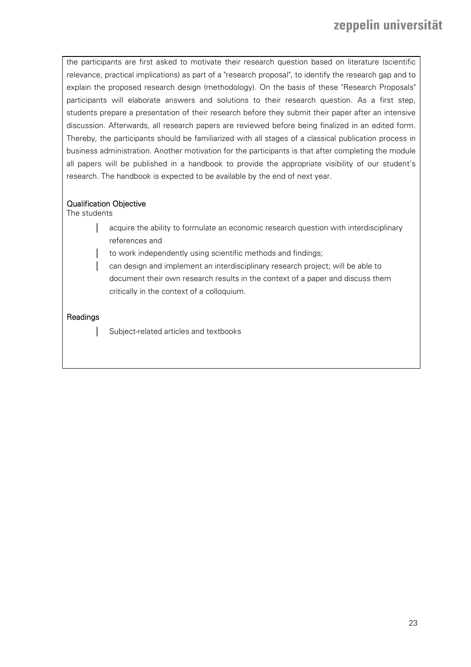the participants are first asked to motivate their research question based on literature (scientific relevance, practical implications) as part of a "research proposal", to identify the research gap and to explain the proposed research design (methodology). On the basis of these "Research Proposals" participants will elaborate answers and solutions to their research question. As a first step, students prepare a presentation of their research before they submit their paper after an intensive discussion. Afterwards, all research papers are reviewed before being finalized in an edited form. Thereby, the participants should be familiarized with all stages of a classical publication process in business administration. Another motivation for the participants is that after completing the module all papers will be published in a handbook to provide the appropriate visibility of our student's research. The handbook is expected to be available by the end of next year.

### Qualification Objective

The students

- acquire the ability to formulate an economic research question with interdisciplinary references and
- to work independently using scientific methods and findings;
- can design and implement an interdisciplinary research project; will be able to document their own research results in the context of a paper and discuss them critically in the context of a colloquium.

### **Readings**

Subject-related articles and textbooks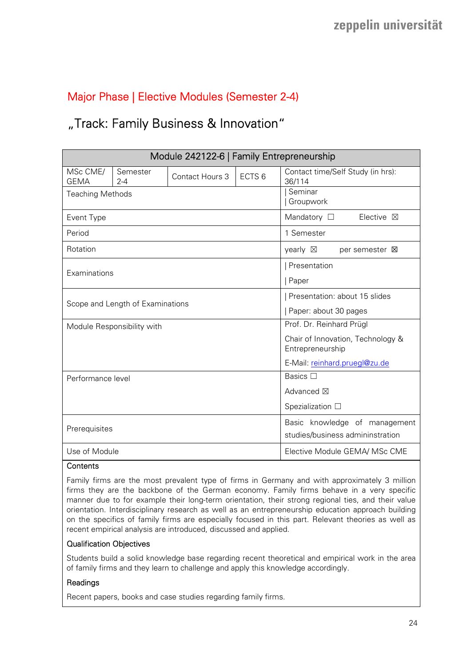## Major Phase | Elective Modules (Semester 2-4)

## "Track: Family Business & Innovation"

| Module 242122-6   Family Entrepreneurship |                                  |                 |                                                                   |                                                       |
|-------------------------------------------|----------------------------------|-----------------|-------------------------------------------------------------------|-------------------------------------------------------|
| MSc CME/<br><b>GEMA</b>                   | Semester<br>$2 - 4$              | Contact Hours 3 | ECTS <sub>6</sub>                                                 | Contact time/Self Study (in hrs):<br>36/114           |
| <b>Teaching Methods</b>                   |                                  |                 |                                                                   | Seminar<br>Groupwork                                  |
| Event Type                                |                                  |                 |                                                                   | Mandatory $\Box$<br>Elective $\boxtimes$              |
| Period                                    |                                  |                 |                                                                   | 1 Semester                                            |
| Rotation                                  |                                  |                 |                                                                   | yearly $\boxtimes$<br>per semester <b>区</b>           |
| Examinations                              |                                  |                 |                                                                   | Presentation                                          |
|                                           |                                  |                 |                                                                   | Paper                                                 |
|                                           | Scope and Length of Examinations |                 |                                                                   | Presentation: about 15 slides                         |
|                                           |                                  |                 |                                                                   | Paper: about 30 pages                                 |
|                                           | Module Responsibility with       |                 |                                                                   | Prof. Dr. Reinhard Prügl                              |
|                                           |                                  |                 |                                                                   | Chair of Innovation, Technology &<br>Entrepreneurship |
|                                           |                                  |                 |                                                                   | E-Mail: reinhard.pruegl@zu.de                         |
| Performance level                         |                                  |                 |                                                                   | Basics $\square$                                      |
|                                           |                                  |                 |                                                                   | Advanced $\boxtimes$                                  |
|                                           |                                  |                 | Spezialization $\square$                                          |                                                       |
| Prerequisites                             |                                  |                 | Basic knowledge of management<br>studies/business admininstration |                                                       |
| Use of Module                             |                                  |                 |                                                                   | Elective Module GEMA/ MSc CME                         |

#### **Contents**

Family firms are the most prevalent type of firms in Germany and with approximately 3 million firms they are the backbone of the German economy. Family firms behave in a very specific manner due to for example their long-term orientation, their strong regional ties, and their value orientation. Interdisciplinary research as well as an entrepreneurship education approach building on the specifics of family firms are especially focused in this part. Relevant theories as well as recent empirical analysis are introduced, discussed and applied.

#### Qualification Objectives

Students build a solid knowledge base regarding recent theoretical and empirical work in the area of family firms and they learn to challenge and apply this knowledge accordingly.

#### Readings

Recent papers, books and case studies regarding family firms.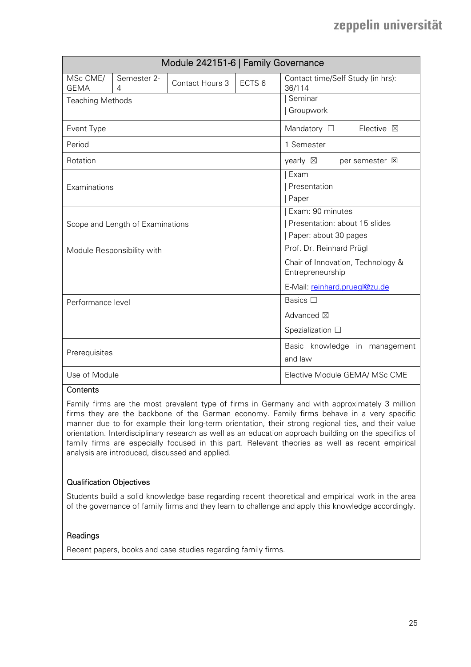| Module 242151-6   Family Governance |                                  |                 |                               |                                                       |
|-------------------------------------|----------------------------------|-----------------|-------------------------------|-------------------------------------------------------|
| MSc CME/<br><b>GEMA</b>             | Semester 2-<br>4                 | Contact Hours 3 | ECTS <sub>6</sub>             | Contact time/Self Study (in hrs):<br>36/114           |
| <b>Teaching Methods</b>             |                                  |                 |                               | Seminar                                               |
|                                     |                                  |                 |                               | Groupwork                                             |
| Event Type                          |                                  |                 |                               | Mandatory $\square$<br>Elective $\boxtimes$           |
| Period                              |                                  |                 |                               | 1 Semester                                            |
| Rotation                            |                                  |                 |                               | yearly $\boxtimes$<br>per semester <b>区</b>           |
|                                     |                                  |                 |                               | Exam                                                  |
| Examinations                        |                                  |                 |                               | Presentation                                          |
|                                     |                                  |                 |                               | Paper                                                 |
|                                     |                                  |                 |                               | Exam: 90 minutes                                      |
|                                     | Scope and Length of Examinations |                 |                               | Presentation: about 15 slides                         |
|                                     |                                  |                 |                               | Paper: about 30 pages                                 |
|                                     | Module Responsibility with       |                 |                               | Prof. Dr. Reinhard Prügl                              |
|                                     |                                  |                 |                               | Chair of Innovation, Technology &<br>Entrepreneurship |
|                                     |                                  |                 |                               | E-Mail: reinhard.pruegl@zu.de                         |
| Performance level                   |                                  |                 |                               | Basics $\Box$                                         |
|                                     |                                  |                 | Advanced ⊠                    |                                                       |
|                                     |                                  |                 | Spezialization □              |                                                       |
|                                     |                                  |                 | Basic knowledge in management |                                                       |
| Prerequisites                       |                                  |                 |                               | and law                                               |
| Use of Module                       |                                  |                 |                               | Elective Module GEMA/ MSc CME                         |

#### **Contents**

Family firms are the most prevalent type of firms in Germany and with approximately 3 million firms they are the backbone of the German economy. Family firms behave in a very specific manner due to for example their long-term orientation, their strong regional ties, and their value orientation. Interdisciplinary research as well as an education approach building on the specifics of family firms are especially focused in this part. Relevant theories as well as recent empirical analysis are introduced, discussed and applied.

#### Qualification Objectives

Students build a solid knowledge base regarding recent theoretical and empirical work in the area of the governance of family firms and they learn to challenge and apply this knowledge accordingly.

#### Readings

Recent papers, books and case studies regarding family firms.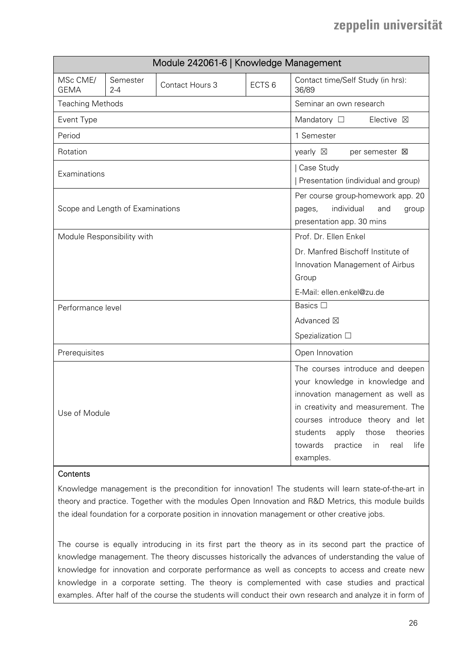|                         |                                  | Module 242061-6   Knowledge Management                                                                 |                                                                                                                                                                                                                                                                                        |                                                   |
|-------------------------|----------------------------------|--------------------------------------------------------------------------------------------------------|----------------------------------------------------------------------------------------------------------------------------------------------------------------------------------------------------------------------------------------------------------------------------------------|---------------------------------------------------|
| MSc CME/<br><b>GEMA</b> | Semester<br>$2 - 4$              | Contact Hours 3                                                                                        | ECTS <sub>6</sub>                                                                                                                                                                                                                                                                      | Contact time/Self Study (in hrs):<br>36/89        |
| <b>Teaching Methods</b> |                                  |                                                                                                        |                                                                                                                                                                                                                                                                                        | Seminar an own research                           |
| Event Type              |                                  |                                                                                                        |                                                                                                                                                                                                                                                                                        | Mandatory $\square$<br>Elective $\boxtimes$       |
| Period                  |                                  |                                                                                                        |                                                                                                                                                                                                                                                                                        | 1 Semester                                        |
| Rotation                |                                  |                                                                                                        |                                                                                                                                                                                                                                                                                        | yearly $\boxtimes$<br>per semester $\boxtimes$    |
| Examinations            |                                  |                                                                                                        |                                                                                                                                                                                                                                                                                        | Case Study<br>Presentation (individual and group) |
|                         | Scope and Length of Examinations | Per course group-homework app. 20<br>individual<br>and<br>pages,<br>group<br>presentation app. 30 mins |                                                                                                                                                                                                                                                                                        |                                                   |
|                         | Module Responsibility with       |                                                                                                        |                                                                                                                                                                                                                                                                                        | Prof. Dr. Ellen Enkel                             |
|                         |                                  |                                                                                                        |                                                                                                                                                                                                                                                                                        | Dr. Manfred Bischoff Institute of                 |
|                         |                                  |                                                                                                        |                                                                                                                                                                                                                                                                                        | Innovation Management of Airbus                   |
|                         |                                  |                                                                                                        |                                                                                                                                                                                                                                                                                        | Group                                             |
|                         |                                  |                                                                                                        |                                                                                                                                                                                                                                                                                        | E-Mail: ellen.enkel@zu.de                         |
| Performance level       |                                  |                                                                                                        |                                                                                                                                                                                                                                                                                        | Basics □                                          |
|                         |                                  |                                                                                                        |                                                                                                                                                                                                                                                                                        | Advanced ⊠                                        |
|                         |                                  |                                                                                                        |                                                                                                                                                                                                                                                                                        | Spezialization $\Box$                             |
| Prerequisites           |                                  |                                                                                                        |                                                                                                                                                                                                                                                                                        | Open Innovation                                   |
| Use of Module           |                                  |                                                                                                        | The courses introduce and deepen<br>your knowledge in knowledge and<br>innovation management as well as<br>in creativity and measurement. The<br>courses introduce theory and let<br>students<br>apply<br>those<br>theories<br>life<br>towards<br>practice<br>in.<br>real<br>examples. |                                                   |

### **Contents**

Knowledge management is the precondition for innovation! The students will learn state-of-the-art in theory and practice. Together with the modules Open Innovation and R&D Metrics, this module builds the ideal foundation for a corporate position in innovation management or other creative jobs.

The course is equally introducing in its first part the theory as in its second part the practice of knowledge management. The theory discusses historically the advances of understanding the value of knowledge for innovation and corporate performance as well as concepts to access and create new knowledge in a corporate setting. The theory is complemented with case studies and practical examples. After half of the course the students will conduct their own research and analyze it in form of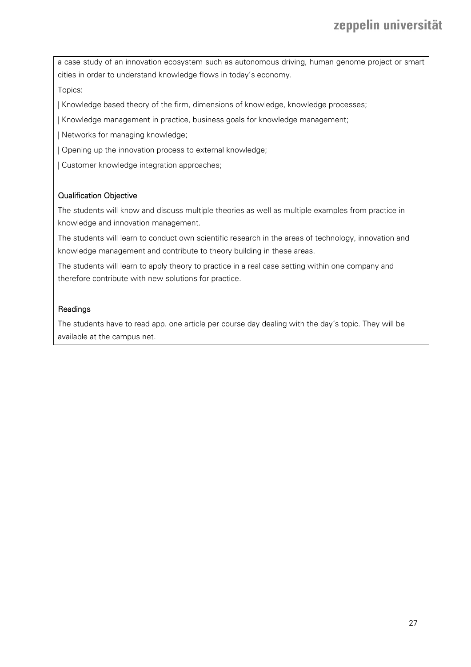a case study of an innovation ecosystem such as autonomous driving, human genome project or smart cities in order to understand knowledge flows in today's economy.

Topics:

| Knowledge based theory of the firm, dimensions of knowledge, knowledge processes;

| Knowledge management in practice, business goals for knowledge management;

| Networks for managing knowledge;

| Opening up the innovation process to external knowledge;

| Customer knowledge integration approaches;

#### Qualification Objective

The students will know and discuss multiple theories as well as multiple examples from practice in knowledge and innovation management.

The students will learn to conduct own scientific research in the areas of technology, innovation and knowledge management and contribute to theory building in these areas.

The students will learn to apply theory to practice in a real case setting within one company and therefore contribute with new solutions for practice.

#### Readings

The students have to read app. one article per course day dealing with the day´s topic. They will be available at the campus net.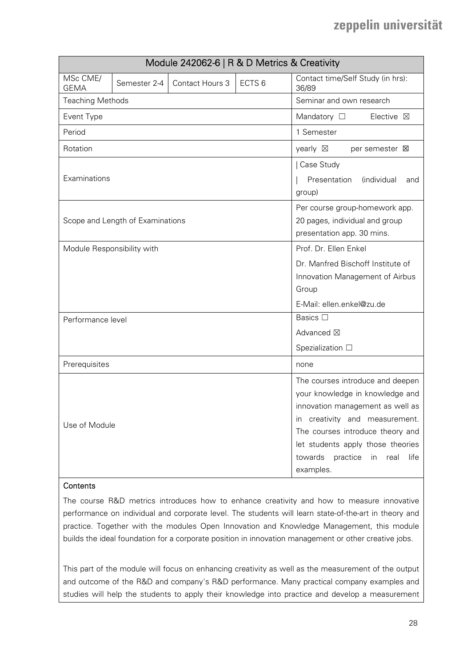| Module 242062-6   R & D Metrics & Creativity |                                  |                 |                   |                                                                                                                                                                                                                                                                              |
|----------------------------------------------|----------------------------------|-----------------|-------------------|------------------------------------------------------------------------------------------------------------------------------------------------------------------------------------------------------------------------------------------------------------------------------|
| MSc CME/<br><b>GEMA</b>                      | Semester 2-4                     | Contact Hours 3 | ECTS <sub>6</sub> | Contact time/Self Study (in hrs):<br>36/89                                                                                                                                                                                                                                   |
| <b>Teaching Methods</b>                      |                                  |                 |                   | Seminar and own research                                                                                                                                                                                                                                                     |
| Event Type                                   |                                  |                 |                   | Mandatory $\square$<br>Elective $\boxtimes$                                                                                                                                                                                                                                  |
| Period                                       |                                  |                 |                   | 1 Semester                                                                                                                                                                                                                                                                   |
| Rotation                                     |                                  |                 |                   | yearly $\boxtimes$<br>per semester $\boxtimes$                                                                                                                                                                                                                               |
| Examinations                                 |                                  |                 |                   | Case Study<br>Presentation<br><i>(individual</i><br>and<br>group)                                                                                                                                                                                                            |
|                                              | Scope and Length of Examinations |                 |                   | Per course group-homework app.<br>20 pages, individual and group<br>presentation app. 30 mins.                                                                                                                                                                               |
| Module Responsibility with                   |                                  |                 |                   | Prof. Dr. Ellen Enkel                                                                                                                                                                                                                                                        |
|                                              |                                  |                 |                   | Dr. Manfred Bischoff Institute of                                                                                                                                                                                                                                            |
|                                              |                                  |                 |                   | Innovation Management of Airbus                                                                                                                                                                                                                                              |
|                                              |                                  |                 |                   | Group                                                                                                                                                                                                                                                                        |
|                                              |                                  |                 |                   | E-Mail: ellen.enkel@zu.de                                                                                                                                                                                                                                                    |
| Performance level                            |                                  |                 |                   | Basics □                                                                                                                                                                                                                                                                     |
|                                              |                                  |                 |                   | Advanced ⊠                                                                                                                                                                                                                                                                   |
|                                              |                                  |                 |                   | Spezialization $\square$                                                                                                                                                                                                                                                     |
| Prerequisites                                |                                  |                 |                   | none                                                                                                                                                                                                                                                                         |
| Use of Module                                |                                  |                 |                   | The courses introduce and deepen<br>your knowledge in knowledge and<br>innovation management as well as<br>in creativity and measurement.<br>The courses introduce theory and<br>let students apply those theories<br>towards<br>practice<br>in<br>real<br>life<br>examples. |

### **Contents**

The course R&D metrics introduces how to enhance creativity and how to measure innovative performance on individual and corporate level. The students will learn state-of-the-art in theory and practice. Together with the modules Open Innovation and Knowledge Management, this module builds the ideal foundation for a corporate position in innovation management or other creative jobs.

This part of the module will focus on enhancing creativity as well as the measurement of the output and outcome of the R&D and company's R&D performance. Many practical company examples and studies will help the students to apply their knowledge into practice and develop a measurement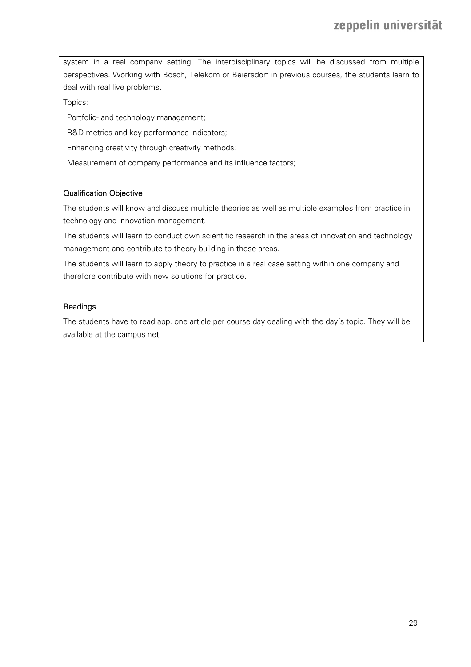system in a real company setting. The interdisciplinary topics will be discussed from multiple perspectives. Working with Bosch, Telekom or Beiersdorf in previous courses, the students learn to deal with real live problems.

Topics:

| Portfolio- and technology management;

| R&D metrics and key performance indicators;

| Enhancing creativity through creativity methods;

| Measurement of company performance and its influence factors;

#### Qualification Objective

The students will know and discuss multiple theories as well as multiple examples from practice in technology and innovation management.

The students will learn to conduct own scientific research in the areas of innovation and technology management and contribute to theory building in these areas.

The students will learn to apply theory to practice in a real case setting within one company and therefore contribute with new solutions for practice.

### **Readings**

The students have to read app. one article per course day dealing with the day´s topic. They will be available at the campus net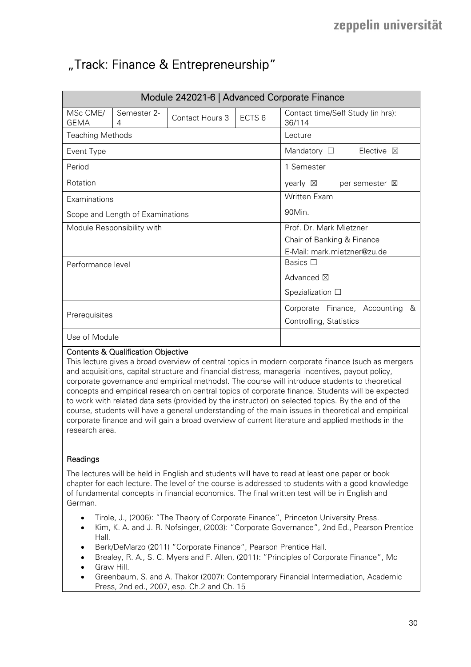## "Track: Finance & Entrepreneurship"

|                                  |                               | Module 242021-6   Advanced Corporate Finance |                                 |                                                |
|----------------------------------|-------------------------------|----------------------------------------------|---------------------------------|------------------------------------------------|
| MSc CME/<br><b>GEMA</b>          | Semester 2-<br>$\overline{4}$ | Contact Hours 3                              | ECTS <sub>6</sub>               | Contact time/Self Study (in hrs):<br>36/114    |
| <b>Teaching Methods</b>          |                               |                                              |                                 | Lecture                                        |
| Event Type                       |                               |                                              |                                 | Mandatory $\Box$<br>Elective $\boxtimes$       |
| Period                           |                               |                                              |                                 | 1 Semester                                     |
| Rotation                         |                               |                                              |                                 | yearly $\boxtimes$<br>per semester $\boxtimes$ |
| Examinations                     |                               |                                              |                                 | <b>Written Exam</b>                            |
| Scope and Length of Examinations |                               |                                              |                                 | 90Min.                                         |
|                                  | Module Responsibility with    |                                              |                                 | Prof. Dr. Mark Mietzner                        |
|                                  |                               |                                              |                                 | Chair of Banking & Finance                     |
|                                  |                               |                                              |                                 | E-Mail: mark.mietzner@zu.de                    |
| Performance level                |                               |                                              |                                 | Basics $\Box$                                  |
|                                  |                               |                                              |                                 | Advanced $\boxtimes$                           |
|                                  |                               |                                              | Spezialization $\square$        |                                                |
| Prerequisites                    |                               |                                              | Corporate Finance, Accounting & |                                                |
|                                  |                               |                                              |                                 | Controlling, Statistics                        |
| Use of Module                    |                               |                                              |                                 |                                                |

### Contents & Qualification Objective

This lecture gives a broad overview of central topics in modern corporate finance (such as mergers and acquisitions, capital structure and financial distress, managerial incentives, payout policy, corporate governance and empirical methods). The course will introduce students to theoretical concepts and empirical research on central topics of corporate finance. Students will be expected to work with related data sets (provided by the instructor) on selected topics. By the end of the course, students will have a general understanding of the main issues in theoretical and empirical corporate finance and will gain a broad overview of current literature and applied methods in the research area.

#### **Readings**

The lectures will be held in English and students will have to read at least one paper or book chapter for each lecture. The level of the course is addressed to students with a good knowledge of fundamental concepts in financial economics. The final written test will be in English and German.

- Tirole, J., (2006): "The Theory of Corporate Finance", Princeton University Press.
- Kim, K. A. and J. R. Nofsinger, (2003): "Corporate Governance", 2nd Ed., Pearson Prentice Hall.
- Berk/DeMarzo (2011) "Corporate Finance", Pearson Prentice Hall.
- Brealey, R. A., S. C. Myers and F. Allen, (2011): "Principles of Corporate Finance", Mc
- Graw Hill.
- Greenbaum, S. and A. Thakor (2007): Contemporary Financial Intermediation, Academic Press, 2nd ed., 2007, esp. Ch.2 and Ch. 15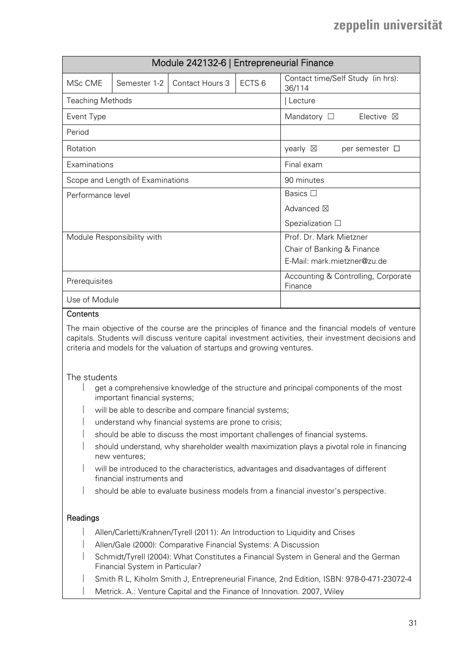| Module 242132-6   Entrepreneurial Finance |                            |                 |                                                |                                             |  |
|-------------------------------------------|----------------------------|-----------------|------------------------------------------------|---------------------------------------------|--|
| MSc CME                                   | Semester 1-2               | Contact Hours 3 | ECTS <sub>6</sub>                              | Contact time/Self Study (in hrs):<br>36/114 |  |
| <b>Teaching Methods</b>                   |                            |                 |                                                | Lecture                                     |  |
| Event Type                                |                            |                 |                                                | Mandatory $\square$<br>Elective $\boxtimes$ |  |
| Period                                    |                            |                 |                                                |                                             |  |
| Rotation                                  |                            |                 |                                                | yearly $\boxtimes$<br>per semester $\Box$   |  |
| Examinations                              |                            |                 |                                                | Final exam                                  |  |
| Scope and Length of Examinations          |                            |                 |                                                | 90 minutes                                  |  |
| Performance level                         |                            |                 |                                                | Basics $\Box$                               |  |
|                                           |                            |                 |                                                | Advanced $\boxtimes$                        |  |
|                                           |                            |                 |                                                | Spezialization $\square$                    |  |
|                                           | Module Responsibility with |                 |                                                | Prof. Dr. Mark Mietzner                     |  |
|                                           |                            |                 |                                                | Chair of Banking & Finance                  |  |
|                                           |                            |                 | E-Mail: mark.mietzner@zu.de                    |                                             |  |
| Prerequisites                             |                            |                 | Accounting & Controlling, Corporate<br>Finance |                                             |  |
| Use of Module                             |                            |                 |                                                |                                             |  |
| Contents                                  |                            |                 |                                                |                                             |  |

The main objective of the course are the principles of finance and the financial models of venture capitals. Students will discuss venture capital investment activities, their investment decisions and criteria and models for the valuation of startups and growing ventures.

#### The students

- get a comprehensive knowledge of the structure and principal components of the most important financial systems;
- will be able to describe and compare financial systems;
- understand why financial systems are prone to crisis;
- should be able to discuss the most important challenges of financial systems.
- should understand, why shareholder wealth maximization plays a pivotal role in financing new ventures;
- will be introduced to the characteristics, advantages and disadvantages of different financial instruments and
- should be able to evaluate business models from a financial investor's perspective.

#### **Readings**

- Allen/Carletti/Krahnen/Tyrell (2011): An Introduction to Liquidity and Crises
- Allen/Gale (2000): Comparative Financial Systems: A Discussion
- Schmidt/Tyrell (2004): What Constitutes a Financial System in General and the German Financial System in Particular?
- Smith R L, Kiholm Smith J, Entrepreneurial Finance, 2nd Edition, ISBN: 978-0-471-23072-4
- Metrick. A.: Venture Capital and the Finance of Innovation. 2007, Wiley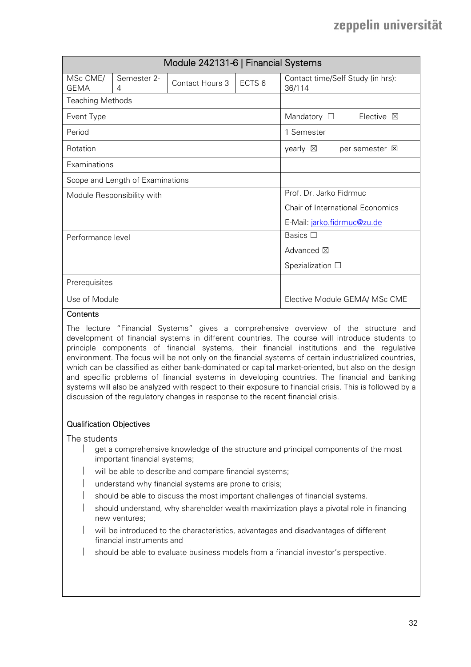|                         |                                  | Module 242131-6   Financial Systems |                   |                                                |
|-------------------------|----------------------------------|-------------------------------------|-------------------|------------------------------------------------|
| MSc CME/<br><b>GEMA</b> | Semester 2-<br>4                 | Contact Hours 3                     | ECTS <sub>6</sub> | Contact time/Self Study (in hrs):<br>36/114    |
| <b>Teaching Methods</b> |                                  |                                     |                   |                                                |
| Event Type              |                                  |                                     |                   | Mandatory $\Box$<br>Elective $\boxtimes$       |
| Period                  |                                  |                                     |                   | 1 Semester                                     |
| Rotation                |                                  |                                     |                   | yearly $\boxtimes$<br>per semester $\boxtimes$ |
| Examinations            |                                  |                                     |                   |                                                |
|                         | Scope and Length of Examinations |                                     |                   |                                                |
|                         | Module Responsibility with       |                                     |                   | Prof. Dr. Jarko Fidrmuc                        |
|                         |                                  |                                     |                   | Chair of International Economics               |
|                         |                                  |                                     |                   | E-Mail: jarko.fidrmuc@zu.de                    |
| Performance level       |                                  |                                     |                   | Basics $\square$                               |
|                         |                                  |                                     |                   | Advanced $\boxtimes$                           |
|                         |                                  |                                     |                   | Spezialization $\square$                       |
| Prerequisites           |                                  |                                     |                   |                                                |
| Use of Module           |                                  |                                     |                   | Elective Module GEMA/ MSc CME                  |

#### **Contents**

The lecture "Financial Systems" gives a comprehensive overview of the structure and development of financial systems in different countries. The course will introduce students to principle components of financial systems, their financial institutions and the regulative environment. The focus will be not only on the financial systems of certain industrialized countries, which can be classified as either bank-dominated or capital market-oriented, but also on the design and specific problems of financial systems in developing countries. The financial and banking systems will also be analyzed with respect to their exposure to financial crisis. This is followed by a discussion of the regulatory changes in response to the recent financial crisis.

#### Qualification Objectives

The students

- get a comprehensive knowledge of the structure and principal components of the most important financial systems;
- will be able to describe and compare financial systems;
- understand why financial systems are prone to crisis;
- should be able to discuss the most important challenges of financial systems.
- should understand, why shareholder wealth maximization plays a pivotal role in financing new ventures;
- will be introduced to the characteristics, advantages and disadvantages of different financial instruments and
- should be able to evaluate business models from a financial investor's perspective.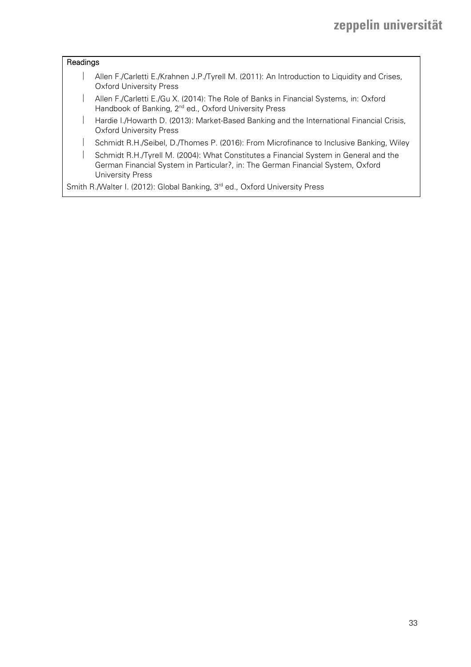### **Readings**

- Allen F./Carletti E./Krahnen J.P./Tyrell M. (2011): An Introduction to Liquidity and Crises, Oxford University Press
- Allen F./Carletti E./Gu X. (2014): The Role of Banks in Financial Systems, in: Oxford Handbook of Banking, 2<sup>nd</sup> ed., Oxford University Press
- Hardie I./Howarth D. (2013): Market-Based Banking and the International Financial Crisis, Oxford University Press
- Schmidt R.H./Seibel, D./Thomes P. (2016): From Microfinance to Inclusive Banking, Wiley
- Schmidt R.H./Tyrell M. (2004): What Constitutes a Financial System in General and the German Financial System in Particular?, in: The German Financial System, Oxford University Press

Smith R./Walter I. (2012): Global Banking, 3<sup>rd</sup> ed., Oxford University Press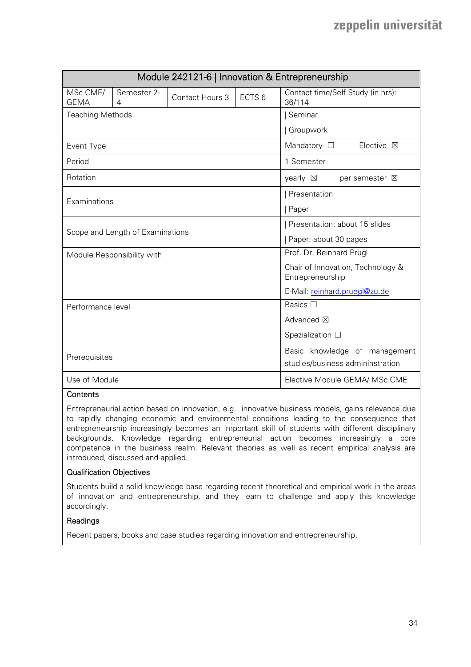|                         |                                  |                 |                   | Module 242121-6   Innovation & Entrepreneurship       |
|-------------------------|----------------------------------|-----------------|-------------------|-------------------------------------------------------|
| MSc CME/<br><b>GEMA</b> | Semester 2-<br>4                 | Contact Hours 3 | ECTS <sub>6</sub> | Contact time/Self Study (in hrs):<br>36/114           |
| <b>Teaching Methods</b> |                                  |                 |                   | Seminar                                               |
|                         |                                  |                 |                   | Groupwork                                             |
| Event Type              |                                  |                 |                   | Mandatory $\square$<br>Elective $\boxtimes$           |
| Period                  |                                  |                 |                   | 1 Semester                                            |
| Rotation                |                                  |                 |                   | yearly $\boxtimes$<br>per semester <b>区</b>           |
|                         |                                  |                 |                   | Presentation                                          |
| Examinations            |                                  |                 |                   | Paper                                                 |
|                         |                                  |                 |                   | Presentation: about 15 slides                         |
|                         | Scope and Length of Examinations |                 |                   | Paper: about 30 pages                                 |
|                         | Module Responsibility with       |                 |                   | Prof. Dr. Reinhard Prügl                              |
|                         |                                  |                 |                   | Chair of Innovation, Technology &<br>Entrepreneurship |
|                         |                                  |                 |                   | E-Mail: reinhard.pruegl@zu.de                         |
| Performance level       |                                  |                 |                   | Basics $\Box$                                         |
|                         |                                  |                 | Advanced ⊠        |                                                       |
|                         |                                  |                 | Spezialization □  |                                                       |
|                         |                                  |                 |                   | Basic knowledge of management                         |
| Prerequisites           |                                  |                 |                   | studies/business admininstration                      |
| Use of Module           |                                  |                 |                   | Elective Module GEMA/ MSc CME                         |

#### **Contents**

Entrepreneurial action based on innovation, e.g. innovative business models, gains relevance due to rapidly changing economic and environmental conditions leading to the consequence that entrepreneurship increasingly becomes an important skill of students with different disciplinary backgrounds. Knowledge regarding entrepreneurial action becomes increasingly a core competence in the business realm. Relevant theories as well as recent empirical analysis are introduced, discussed and applied.

#### Qualification Objectives

Students build a solid knowledge base regarding recent theoretical and empirical work in the areas of innovation and entrepreneurship, and they learn to challenge and apply this knowledge accordingly.

#### Readings

Recent papers, books and case studies regarding innovation and entrepreneurship.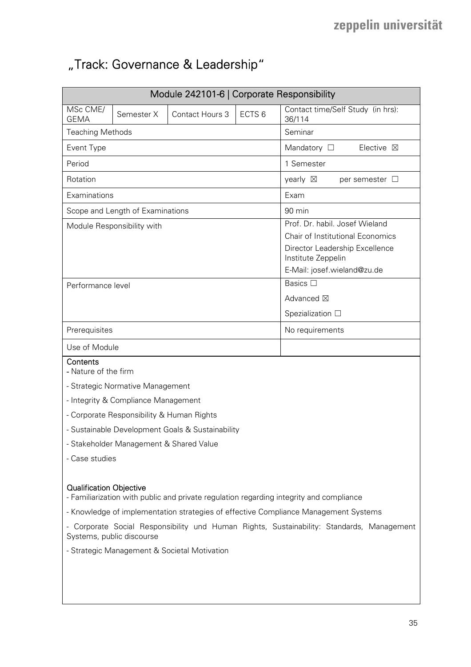# "Track: Governance & Leadership"

| Module 242101-6   Corporate Responsibility                                                                                                                                                                                                                                                                                                                                                 |                                           |                                                  |                   |                                                                                                                                                           |  |
|--------------------------------------------------------------------------------------------------------------------------------------------------------------------------------------------------------------------------------------------------------------------------------------------------------------------------------------------------------------------------------------------|-------------------------------------------|--------------------------------------------------|-------------------|-----------------------------------------------------------------------------------------------------------------------------------------------------------|--|
| MSc CME/<br><b>GEMA</b>                                                                                                                                                                                                                                                                                                                                                                    | Semester X                                | Contact Hours 3                                  | ECTS <sub>6</sub> | Contact time/Self Study (in hrs):<br>36/114                                                                                                               |  |
| <b>Teaching Methods</b>                                                                                                                                                                                                                                                                                                                                                                    |                                           |                                                  |                   | Seminar                                                                                                                                                   |  |
| Event Type                                                                                                                                                                                                                                                                                                                                                                                 |                                           |                                                  |                   | Mandatory $\square$<br>Elective $\boxtimes$                                                                                                               |  |
| Period                                                                                                                                                                                                                                                                                                                                                                                     |                                           |                                                  |                   | 1 Semester                                                                                                                                                |  |
| Rotation                                                                                                                                                                                                                                                                                                                                                                                   |                                           |                                                  |                   | yearly $\boxtimes$<br>per semester $\Box$                                                                                                                 |  |
| Examinations                                                                                                                                                                                                                                                                                                                                                                               |                                           |                                                  |                   | Exam                                                                                                                                                      |  |
|                                                                                                                                                                                                                                                                                                                                                                                            | Scope and Length of Examinations          |                                                  |                   | 90 min                                                                                                                                                    |  |
| Module Responsibility with                                                                                                                                                                                                                                                                                                                                                                 |                                           |                                                  |                   | Prof. Dr. habil. Josef Wieland<br>Chair of Institutional Economics<br>Director Leadership Excellence<br>Institute Zeppelin<br>E-Mail: josef.wieland@zu.de |  |
| Performance level                                                                                                                                                                                                                                                                                                                                                                          |                                           |                                                  |                   | Basics □                                                                                                                                                  |  |
|                                                                                                                                                                                                                                                                                                                                                                                            |                                           |                                                  |                   | Advanced ⊠                                                                                                                                                |  |
|                                                                                                                                                                                                                                                                                                                                                                                            |                                           |                                                  |                   | Spezialization $\square$                                                                                                                                  |  |
| Prerequisites                                                                                                                                                                                                                                                                                                                                                                              |                                           |                                                  |                   | No requirements                                                                                                                                           |  |
| Use of Module                                                                                                                                                                                                                                                                                                                                                                              |                                           |                                                  |                   |                                                                                                                                                           |  |
| Contents<br>- Nature of the firm                                                                                                                                                                                                                                                                                                                                                           |                                           |                                                  |                   |                                                                                                                                                           |  |
|                                                                                                                                                                                                                                                                                                                                                                                            | - Strategic Normative Management          |                                                  |                   |                                                                                                                                                           |  |
|                                                                                                                                                                                                                                                                                                                                                                                            | - Integrity & Compliance Management       |                                                  |                   |                                                                                                                                                           |  |
|                                                                                                                                                                                                                                                                                                                                                                                            | - Corporate Responsibility & Human Rights |                                                  |                   |                                                                                                                                                           |  |
|                                                                                                                                                                                                                                                                                                                                                                                            |                                           | - Sustainable Development Goals & Sustainability |                   |                                                                                                                                                           |  |
|                                                                                                                                                                                                                                                                                                                                                                                            | - Stakeholder Management & Shared Value   |                                                  |                   |                                                                                                                                                           |  |
| - Case studies                                                                                                                                                                                                                                                                                                                                                                             |                                           |                                                  |                   |                                                                                                                                                           |  |
| <b>Qualification Objective</b><br>- Familiarization with public and private regulation regarding integrity and compliance<br>- Knowledge of implementation strategies of effective Compliance Management Systems<br>- Corporate Social Responsibility und Human Rights, Sustainability: Standards, Management<br>Systems, public discourse<br>- Strategic Management & Societal Motivation |                                           |                                                  |                   |                                                                                                                                                           |  |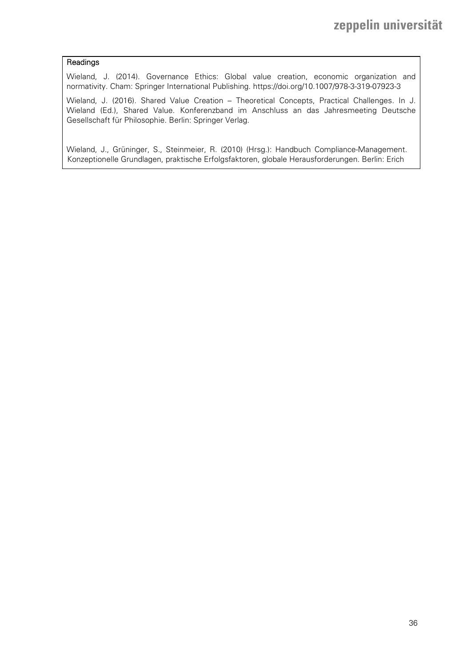#### Readings

Wieland, J. (2014). Governance Ethics: Global value creation, economic organization and normativity. Cham: Springer International Publishing. https://doi.org/10.1007/978-3-319-07923-3

Wieland, J. (2016). Shared Value Creation – Theoretical Concepts, Practical Challenges. In J. Wieland (Ed.), Shared Value. Konferenzband im Anschluss an das Jahresmeeting Deutsche Gesellschaft für Philosophie. Berlin: Springer Verlag.

Wieland, J., Grüninger, S., Steinmeier, R. (2010) (Hrsg.): Handbuch Compliance-Management. Konzeptionelle Grundlagen, praktische Erfolgsfaktoren, globale Herausforderungen. Berlin: Erich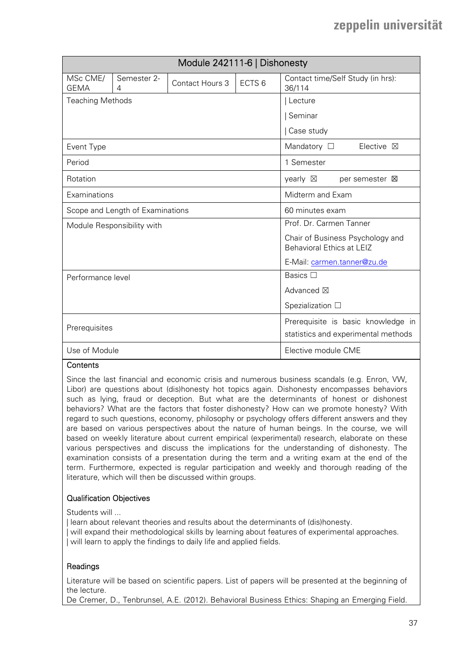|                         |                                  | Module 242111-6   Dishonesty |                                                                           |                                                |
|-------------------------|----------------------------------|------------------------------|---------------------------------------------------------------------------|------------------------------------------------|
| MSc CME/<br><b>GEMA</b> | Semester 2-<br>4                 | Contact Hours 3              | ECTS <sub>6</sub>                                                         | Contact time/Self Study (in hrs):<br>36/114    |
| <b>Teaching Methods</b> |                                  |                              |                                                                           | Lecture                                        |
|                         |                                  |                              |                                                                           | Seminar                                        |
|                         |                                  |                              |                                                                           | Case study                                     |
| Event Type              |                                  |                              |                                                                           | Mandatory $\square$<br>Elective $\boxtimes$    |
| Period                  |                                  |                              |                                                                           | 1 Semester                                     |
| Rotation                |                                  |                              |                                                                           | yearly $\boxtimes$<br>per semester $\boxtimes$ |
| Examinations            |                                  |                              |                                                                           | Midterm and Exam                               |
|                         | Scope and Length of Examinations |                              |                                                                           | 60 minutes exam                                |
|                         | Module Responsibility with       |                              |                                                                           | Prof. Dr. Carmen Tanner                        |
|                         |                                  |                              | Chair of Business Psychology and<br>Behavioral Ethics at LEIZ             |                                                |
|                         |                                  |                              |                                                                           | E-Mail: carmen.tanner@zu.de                    |
| Performance level       |                                  |                              |                                                                           | Basics $\Box$                                  |
|                         |                                  |                              |                                                                           | Advanced ⊠                                     |
|                         |                                  |                              | Spezialization $\Box$                                                     |                                                |
| Prerequisites           |                                  |                              | Prerequisite is basic knowledge in<br>statistics and experimental methods |                                                |
| Use of Module           |                                  |                              |                                                                           | Elective module CME                            |

### **Contents**

Since the last financial and economic crisis and numerous business scandals (e.g. Enron, VW, Libor) are questions about (dis)honesty hot topics again. Dishonesty encompasses behaviors such as lying, fraud or deception. But what are the determinants of honest or dishonest behaviors? What are the factors that foster dishonesty? How can we promote honesty? With regard to such questions, economy, philosophy or psychology offers different answers and they are based on various perspectives about the nature of human beings. In the course, we will based on weekly literature about current empirical (experimental) research, elaborate on these various perspectives and discuss the implications for the understanding of dishonesty. The examination consists of a presentation during the term and a writing exam at the end of the term. Furthermore, expected is regular participation and weekly and thorough reading of the literature, which will then be discussed within groups.

#### Qualification Objectives

Students will ...

| learn about relevant theories and results about the determinants of (dis)honesty. | will expand their methodological skills by learning about features of experimental approaches. | will learn to apply the findings to daily life and applied fields.

#### Readings

Literature will be based on scientific papers. List of papers will be presented at the beginning of the lecture.

De Cremer, D., Tenbrunsel, A.E. (2012). Behavioral Business Ethics: Shaping an Emerging Field.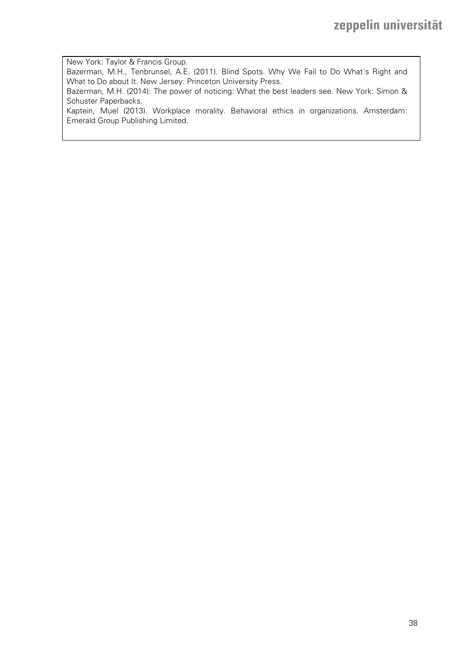New York: Taylor & Francis Group. Bazerman, M.H., Tenbrunsel, A.E. (2011). Blind Spots. Why We Fail to Do What´s Right and What to Do about It. New Jersey: Princeton University Press. Bazerman, M.H. (2014): The power of noticing: What the best leaders see. New York: Simon & Schuster Paperbacks. Kaptein, Muel (2013). Workplace morality. Behavioral ethics in organizations. Amsterdam: Emerald Group Publishing Limited.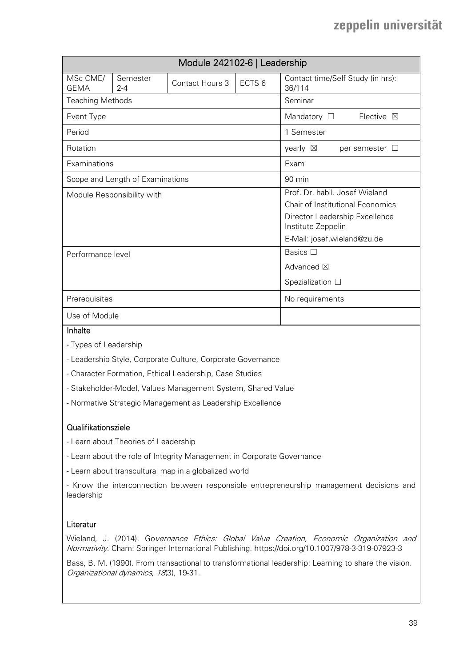|                         |                                  | Module 242102-6   Leadership |                      |                                                      |
|-------------------------|----------------------------------|------------------------------|----------------------|------------------------------------------------------|
| MSc CME/<br><b>GEMA</b> | Semester<br>$2 - 4$              | Contact Hours 3              | ECTS <sub>6</sub>    | Contact time/Self Study (in hrs):<br>36/114          |
| <b>Teaching Methods</b> |                                  |                              |                      | Seminar                                              |
| Event Type              |                                  |                              |                      | Mandatory $\square$<br>Elective $\boxtimes$          |
| Period                  |                                  |                              |                      | 1 Semester                                           |
| Rotation                |                                  |                              |                      | yearly $\boxtimes$<br>per semester $\Box$            |
| Examinations            |                                  |                              |                      | Exam                                                 |
|                         | Scope and Length of Examinations |                              |                      | 90 min                                               |
|                         | Module Responsibility with       |                              |                      | Prof. Dr. habil. Josef Wieland                       |
|                         |                                  |                              |                      | <b>Chair of Institutional Economics</b>              |
|                         |                                  |                              |                      | Director Leadership Excellence<br>Institute Zeppelin |
|                         |                                  |                              |                      | E-Mail: josef.wieland@zu.de                          |
| Performance level       |                                  |                              |                      | Basics $\Box$                                        |
|                         |                                  |                              | Advanced $\boxtimes$ |                                                      |
|                         |                                  | Spezialization $\square$     |                      |                                                      |
| Prerequisites           |                                  | No requirements              |                      |                                                      |
| Use of Module           |                                  |                              |                      |                                                      |

#### **Inhalte**

- Types of Leadership
- Leadership Style, Corporate Culture, Corporate Governance
- Character Formation, Ethical Leadership, Case Studies
- Stakeholder-Model, Values Management System, Shared Value
- Normative Strategic Management as Leadership Excellence

#### Qualifikationsziele

- Learn about Theories of Leadership
- Learn about the role of Integrity Management in Corporate Governance
- Learn about transcultural map in a globalized world

- Know the interconnection between responsible entrepreneurship management decisions and leadership

#### Literatur

Wieland, J. (2014). Governance Ethics: Global Value Creation, Economic Organization and Normativity. Cham: Springer International Publishing. https://doi.org/10.1007/978-3-319-07923-3

Bass, B. M. (1990). From transactional to transformational leadership: Learning to share the vision. Organizational dynamics, 18(3), 19-31.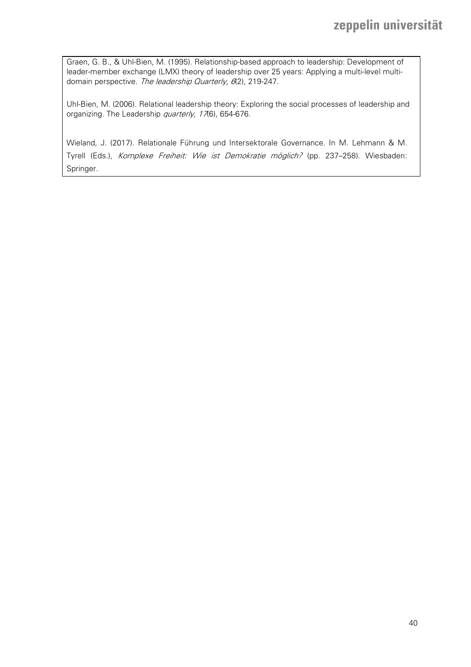Graen, G. B., & Uhl-Bien, M. (1995). Relationship-based approach to leadership: Development of leader-member exchange (LMX) theory of leadership over 25 years: Applying a multi-level multidomain perspective. The leadership Quarterly, 6(2), 219-247.

Uhl-Bien, M. (2006). Relational leadership theory: Exploring the social processes of leadership and organizing. The Leadership quarterly, 176), 654-676.

Wieland, J. (2017). Relationale Führung und Intersektorale Governance. In M. Lehmann & M. Tyrell (Eds.), Komplexe Freiheit: Wie ist Demokratie möglich? (pp. 237-258). Wiesbaden: Springer.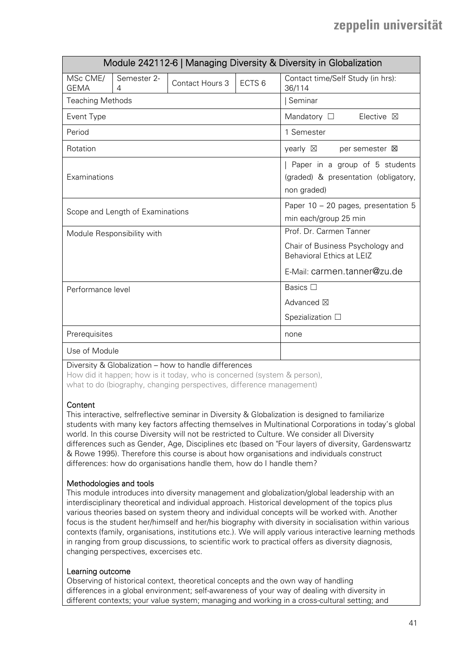|                         |                                  |                                                                                                                         |                   | Module 242112-6   Managing Diversity & Diversity in Globalization                     |
|-------------------------|----------------------------------|-------------------------------------------------------------------------------------------------------------------------|-------------------|---------------------------------------------------------------------------------------|
| MSc CME/<br><b>GEMA</b> | Semester 2-<br>$\overline{4}$    | Contact Hours 3                                                                                                         | ECTS <sub>6</sub> | Contact time/Self Study (in hrs):<br>36/114                                           |
| <b>Teaching Methods</b> |                                  |                                                                                                                         |                   | Seminar                                                                               |
| Event Type              |                                  |                                                                                                                         |                   | Mandatory $\square$<br>Elective $\boxtimes$                                           |
| Period                  |                                  |                                                                                                                         |                   | 1 Semester                                                                            |
| Rotation                |                                  |                                                                                                                         |                   | yearly $\boxtimes$<br>per semester <b>区</b>                                           |
| Examinations            |                                  |                                                                                                                         |                   | Paper in a group of 5 students<br>(graded) & presentation (obligatory,<br>non graded) |
|                         | Scope and Length of Examinations |                                                                                                                         |                   | Paper 10 - 20 pages, presentation 5<br>min each/group 25 min                          |
|                         | Module Responsibility with       | Prof. Dr. Carmen Tanner<br>Chair of Business Psychology and<br>Behavioral Ethics at LEIZ<br>E-Mail: carmen.tanner@zu.de |                   |                                                                                       |
| Performance level       |                                  | Basics $\square$<br>Advanced ⊠<br>Spezialization $\square$                                                              |                   |                                                                                       |
| Prerequisites           |                                  | none                                                                                                                    |                   |                                                                                       |
| Use of Module           |                                  |                                                                                                                         |                   |                                                                                       |

Diversity & Globalization – how to handle differences

How did it happen; how is it today, who is concerned (system & person), what to do (biography, changing perspectives, difference management)

#### **Content**

This interactive, selfreflective seminar in Diversity & Globalization is designed to familiarize students with many key factors affecting themselves in Multinational Corporations in today's global world. In this course Diversity will not be restricted to Culture. We consider all Diversity differences such as Gender, Age, Disciplines etc (based on "Four layers of diversity, Gardenswartz & Rowe 1995). Therefore this course is about how organisations and individuals construct differences: how do organisations handle them, how do I handle them?

### Methodologies and tools

This module introduces into diversity management and globalization/global leadership with an interdisciplinary theoretical and individual approach. Historical development of the topics plus various theories based on system theory and individual concepts will be worked with. Another focus is the student her/himself and her/his biography with diversity in socialisation within various contexts (family, organisations, institutions etc.). We will apply various interactive learning methods in ranging from group discussions, to scientific work to practical offers as diversity diagnosis, changing perspectives, excercises etc.

#### Learning outcome

Observing of historical context, theoretical concepts and the own way of handling differences in a global environment; self-awareness of your way of dealing with diversity in different contexts; your value system; managing and working in a cross-cultural setting; and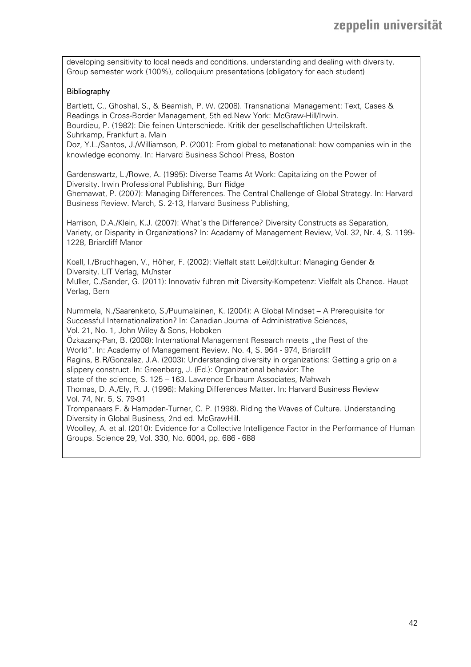developing sensitivity to local needs and conditions. understanding and dealing with diversity. Group semester work (100%), colloquium presentations (obligatory for each student)

#### **Bibliography**

Bartlett, C., Ghoshal, S., & Beamish, P. W. (2008). Transnational Management: Text, Cases & Readings in Cross-Border Management, 5th ed.New York: McGraw-Hill/Irwin. Bourdieu, P. (1982): Die feinen Unterschiede. Kritik der gesellschaftlichen Urteilskraft. Suhrkamp, Frankfurt a. Main

Doz, Y.L./Santos, J./Williamson, P. (2001): From global to metanational: how companies win in the knowledge economy. In: Harvard Business School Press, Boston

Gardenswartz, L./Rowe, A. (1995): Diverse Teams At Work: Capitalizing on the Power of Diversity. Irwin Professional Publishing, Burr Ridge Ghemawat, P. (2007): Managing Differences. The Central Challenge of Global Strategy. In: Harvard

Business Review. March, S. 2-13, Harvard Business Publishing,

Harrison, D.A./Klein, K.J. (2007): What's the Difference? Diversity Constructs as Separation, Variety, or Disparity in Organizations? In: Academy of Management Review, Vol. 32, Nr. 4, S. 1199- 1228, Briarcliff Manor

Koall, I./Bruchhagen, V., Höher, F. (2002): Vielfalt statt Lei(d)tkultur: Managing Gender & Diversity. LIT Verlag, Münster

Müller, C./Sander, G. (2011): Innovativ führen mit Diversity-Kompetenz: Vielfalt als Chance. Haupt Verlag, Bern

Nummela, N./Saarenketo, S./Puumalainen, K. (2004): A Global Mindset – A Prerequisite for Successful Internationalization? In: Canadian Journal of Administrative Sciences, Vol. 21, No. 1, John Wiley & Sons, Hoboken

Özkazanc-Pan, B. (2008): International Management Research meets "the Rest of the World". In: Academy of Management Review. No. 4, S. 964 - 974, Briarcliff

Ragins, B.R/Gonzalez, J.A. (2003): Understanding diversity in organizations: Getting a grip on a slippery construct. In: Greenberg, J. (Ed.): Organizational behavior: The

state of the science, S. 125 – 163. Lawrence Erlbaum Associates, Mahwah

Thomas, D. A./Ely, R. J. (1996): Making Differences Matter. In: Harvard Business Review Vol. 74, Nr. 5, S. 79-91

Trompenaars F. & Hampden-Turner, C. P. (1998). Riding the Waves of Culture. Understanding Diversity in Global Business, 2nd ed. McGrawHill.

Woolley, A. et al. (2010): Evidence for a Collective Intelligence Factor in the Performance of Human Groups. Science 29, Vol. 330, No. 6004, pp. 686 - 688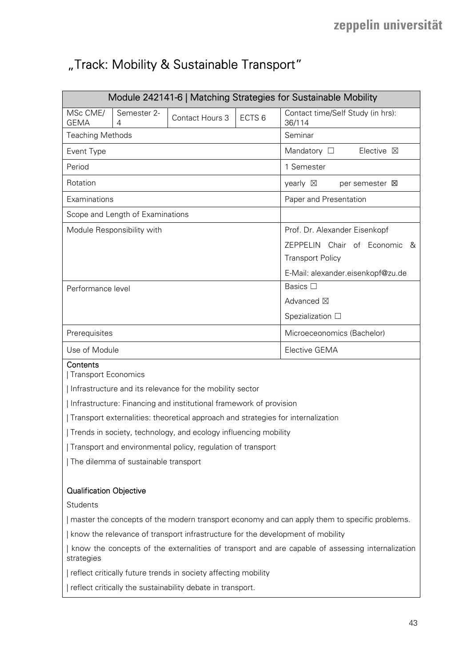# "Track: Mobility & Sustainable Transport"

|                                                                                                                | Module 242141-6   Matching Strategies for Sustainable Mobility |                                                                                  |                   |                                                            |  |  |
|----------------------------------------------------------------------------------------------------------------|----------------------------------------------------------------|----------------------------------------------------------------------------------|-------------------|------------------------------------------------------------|--|--|
| MSc CME/<br><b>GEMA</b>                                                                                        | Semester 2-<br>4                                               | Contact Hours 3                                                                  | ECTS <sub>6</sub> | Contact time/Self Study (in hrs):<br>36/114                |  |  |
| <b>Teaching Methods</b>                                                                                        |                                                                |                                                                                  |                   | Seminar                                                    |  |  |
| Event Type                                                                                                     |                                                                |                                                                                  |                   | Mandatory $\square$<br>Elective $\boxtimes$                |  |  |
| Period                                                                                                         |                                                                |                                                                                  |                   | 1 Semester                                                 |  |  |
| Rotation                                                                                                       |                                                                |                                                                                  |                   | yearly $\boxtimes$<br>per semester <b>図</b>                |  |  |
| Examinations                                                                                                   |                                                                |                                                                                  |                   | Paper and Presentation                                     |  |  |
|                                                                                                                | Scope and Length of Examinations                               |                                                                                  |                   |                                                            |  |  |
|                                                                                                                | Module Responsibility with                                     |                                                                                  |                   | Prof. Dr. Alexander Eisenkopf                              |  |  |
|                                                                                                                |                                                                |                                                                                  |                   | ZEPPELIN Chair of Economic<br>&<br><b>Transport Policy</b> |  |  |
|                                                                                                                |                                                                |                                                                                  |                   | E-Mail: alexander.eisenkopf@zu.de                          |  |  |
| Performance level                                                                                              |                                                                |                                                                                  |                   | Basics $\square$                                           |  |  |
|                                                                                                                |                                                                |                                                                                  |                   | Advanced ⊠                                                 |  |  |
|                                                                                                                |                                                                |                                                                                  |                   | Spezialization $\square$                                   |  |  |
| Prerequisites                                                                                                  |                                                                |                                                                                  |                   | Microeceonomics (Bachelor)                                 |  |  |
| Use of Module                                                                                                  |                                                                |                                                                                  |                   | Elective GEMA                                              |  |  |
| Contents<br>Transport Economics                                                                                |                                                                |                                                                                  |                   |                                                            |  |  |
|                                                                                                                |                                                                | Infrastructure and its relevance for the mobility sector                         |                   |                                                            |  |  |
|                                                                                                                |                                                                | Infrastructure: Financing and institutional framework of provision               |                   |                                                            |  |  |
|                                                                                                                |                                                                | Transport externalities: theoretical approach and strategies for internalization |                   |                                                            |  |  |
|                                                                                                                |                                                                | Trends in society, technology, and ecology influencing mobility                  |                   |                                                            |  |  |
|                                                                                                                |                                                                | Transport and environmental policy, regulation of transport                      |                   |                                                            |  |  |
|                                                                                                                | The dilemma of sustainable transport                           |                                                                                  |                   |                                                            |  |  |
| <b>Qualification Objective</b>                                                                                 |                                                                |                                                                                  |                   |                                                            |  |  |
| <b>Students</b>                                                                                                |                                                                |                                                                                  |                   |                                                            |  |  |
| master the concepts of the modern transport economy and can apply them to specific problems.                   |                                                                |                                                                                  |                   |                                                            |  |  |
| know the relevance of transport infrastructure for the development of mobility                                 |                                                                |                                                                                  |                   |                                                            |  |  |
| know the concepts of the externalities of transport and are capable of assessing internalization<br>strategies |                                                                |                                                                                  |                   |                                                            |  |  |
| reflect critically future trends in society affecting mobility                                                 |                                                                |                                                                                  |                   |                                                            |  |  |
|                                                                                                                | reflect critically the sustainability debate in transport.     |                                                                                  |                   |                                                            |  |  |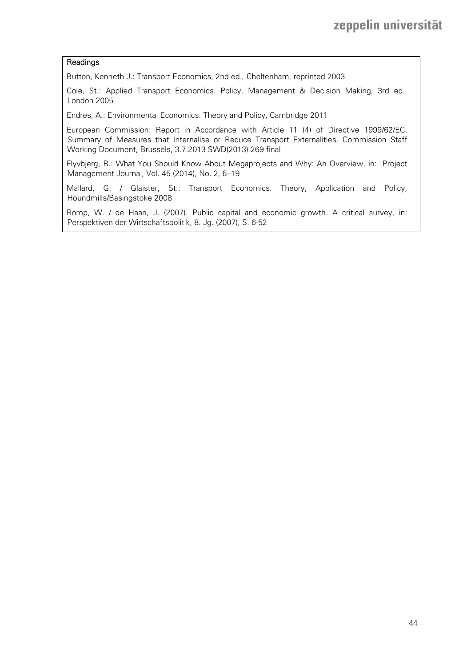#### Readings

Button, Kenneth J.: Transport Economics, 2nd ed., Cheltenham, reprinted 2003

Cole, St.: Applied Transport Economics. Policy, Management & Decision Making, 3rd ed., London 2005

Endres, A.: Environmental Economics. Theory and Policy, Cambridge 2011

European Commission: Report in Accordance with Article 11 (4) of Directive 1999/62/EC. Summary of Measures that Internalise or Reduce Transport Externalities, Commission Staff Working Document, Brussels, 3.7.2013 SWD(2013) 269 final

Flyvbjerg, B.: What You Should Know About Megaprojects and Why: An Overview, in: Project Management Journal, Vol. 45 (2014), No. 2, 6–19

Mallard, G. / Glaister, St.: Transport Economics. Theory, Application and Policy, Houndmills/Basingstoke 2008

Romp, W. / de Haan, J. (2007). Public capital and economic growth. A critical survey, in: Perspektiven der Wirtschaftspolitik, 8. Jg. (2007), S. 6-52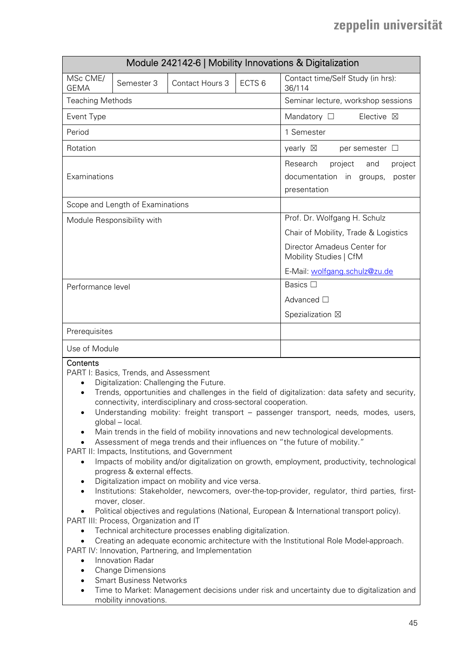| Module 242142-6   Mobility Innovations & Digitalization                                                                                                                                                                                                                                                                                                                                                                                                                                                                                                                                                                                                                                                                                                                                                                                                                                                                                                                                                                                                                                                                                                                                                                                                                                                                                                                                                                                                                                                                                                                                                |                                  |                                    |                   |                                                                                             |  |  |
|--------------------------------------------------------------------------------------------------------------------------------------------------------------------------------------------------------------------------------------------------------------------------------------------------------------------------------------------------------------------------------------------------------------------------------------------------------------------------------------------------------------------------------------------------------------------------------------------------------------------------------------------------------------------------------------------------------------------------------------------------------------------------------------------------------------------------------------------------------------------------------------------------------------------------------------------------------------------------------------------------------------------------------------------------------------------------------------------------------------------------------------------------------------------------------------------------------------------------------------------------------------------------------------------------------------------------------------------------------------------------------------------------------------------------------------------------------------------------------------------------------------------------------------------------------------------------------------------------------|----------------------------------|------------------------------------|-------------------|---------------------------------------------------------------------------------------------|--|--|
| MSc CME/<br><b>GEMA</b>                                                                                                                                                                                                                                                                                                                                                                                                                                                                                                                                                                                                                                                                                                                                                                                                                                                                                                                                                                                                                                                                                                                                                                                                                                                                                                                                                                                                                                                                                                                                                                                | Semester 3                       | Contact Hours 3                    | ECTS <sub>6</sub> | Contact time/Self Study (in hrs):<br>36/114                                                 |  |  |
| <b>Teaching Methods</b>                                                                                                                                                                                                                                                                                                                                                                                                                                                                                                                                                                                                                                                                                                                                                                                                                                                                                                                                                                                                                                                                                                                                                                                                                                                                                                                                                                                                                                                                                                                                                                                |                                  | Seminar lecture, workshop sessions |                   |                                                                                             |  |  |
| Event Type                                                                                                                                                                                                                                                                                                                                                                                                                                                                                                                                                                                                                                                                                                                                                                                                                                                                                                                                                                                                                                                                                                                                                                                                                                                                                                                                                                                                                                                                                                                                                                                             |                                  |                                    |                   | Mandatory $\square$<br>Elective ⊠                                                           |  |  |
| Period                                                                                                                                                                                                                                                                                                                                                                                                                                                                                                                                                                                                                                                                                                                                                                                                                                                                                                                                                                                                                                                                                                                                                                                                                                                                                                                                                                                                                                                                                                                                                                                                 |                                  |                                    |                   | 1 Semester                                                                                  |  |  |
| Rotation                                                                                                                                                                                                                                                                                                                                                                                                                                                                                                                                                                                                                                                                                                                                                                                                                                                                                                                                                                                                                                                                                                                                                                                                                                                                                                                                                                                                                                                                                                                                                                                               |                                  |                                    |                   | yearly $\boxtimes$<br>per semester $\Box$                                                   |  |  |
| Examinations                                                                                                                                                                                                                                                                                                                                                                                                                                                                                                                                                                                                                                                                                                                                                                                                                                                                                                                                                                                                                                                                                                                                                                                                                                                                                                                                                                                                                                                                                                                                                                                           |                                  |                                    |                   | Research<br>project<br>project<br>and<br>documentation in groups,<br>poster<br>presentation |  |  |
|                                                                                                                                                                                                                                                                                                                                                                                                                                                                                                                                                                                                                                                                                                                                                                                                                                                                                                                                                                                                                                                                                                                                                                                                                                                                                                                                                                                                                                                                                                                                                                                                        | Scope and Length of Examinations |                                    |                   |                                                                                             |  |  |
|                                                                                                                                                                                                                                                                                                                                                                                                                                                                                                                                                                                                                                                                                                                                                                                                                                                                                                                                                                                                                                                                                                                                                                                                                                                                                                                                                                                                                                                                                                                                                                                                        | Module Responsibility with       |                                    |                   | Prof. Dr. Wolfgang H. Schulz                                                                |  |  |
|                                                                                                                                                                                                                                                                                                                                                                                                                                                                                                                                                                                                                                                                                                                                                                                                                                                                                                                                                                                                                                                                                                                                                                                                                                                                                                                                                                                                                                                                                                                                                                                                        |                                  |                                    |                   | Chair of Mobility, Trade & Logistics                                                        |  |  |
|                                                                                                                                                                                                                                                                                                                                                                                                                                                                                                                                                                                                                                                                                                                                                                                                                                                                                                                                                                                                                                                                                                                                                                                                                                                                                                                                                                                                                                                                                                                                                                                                        |                                  |                                    |                   | Director Amadeus Center for<br>Mobility Studies   CfM                                       |  |  |
|                                                                                                                                                                                                                                                                                                                                                                                                                                                                                                                                                                                                                                                                                                                                                                                                                                                                                                                                                                                                                                                                                                                                                                                                                                                                                                                                                                                                                                                                                                                                                                                                        |                                  |                                    |                   | E-Mail: wolfgang.schulz@zu.de                                                               |  |  |
| Performance level                                                                                                                                                                                                                                                                                                                                                                                                                                                                                                                                                                                                                                                                                                                                                                                                                                                                                                                                                                                                                                                                                                                                                                                                                                                                                                                                                                                                                                                                                                                                                                                      |                                  |                                    |                   | Basics □                                                                                    |  |  |
|                                                                                                                                                                                                                                                                                                                                                                                                                                                                                                                                                                                                                                                                                                                                                                                                                                                                                                                                                                                                                                                                                                                                                                                                                                                                                                                                                                                                                                                                                                                                                                                                        |                                  |                                    |                   | Advanced □                                                                                  |  |  |
|                                                                                                                                                                                                                                                                                                                                                                                                                                                                                                                                                                                                                                                                                                                                                                                                                                                                                                                                                                                                                                                                                                                                                                                                                                                                                                                                                                                                                                                                                                                                                                                                        |                                  |                                    |                   | Spezialization ⊠                                                                            |  |  |
| Prerequisites                                                                                                                                                                                                                                                                                                                                                                                                                                                                                                                                                                                                                                                                                                                                                                                                                                                                                                                                                                                                                                                                                                                                                                                                                                                                                                                                                                                                                                                                                                                                                                                          |                                  |                                    |                   |                                                                                             |  |  |
| Use of Module                                                                                                                                                                                                                                                                                                                                                                                                                                                                                                                                                                                                                                                                                                                                                                                                                                                                                                                                                                                                                                                                                                                                                                                                                                                                                                                                                                                                                                                                                                                                                                                          |                                  |                                    |                   |                                                                                             |  |  |
| Contents<br>PART I: Basics, Trends, and Assessment<br>Digitalization: Challenging the Future.<br>$\bullet$<br>Trends, opportunities and challenges in the field of digitalization: data safety and security,<br>$\bullet$<br>connectivity, interdisciplinary and cross-sectoral cooperation.<br>Understanding mobility: freight transport - passenger transport, needs, modes, users,<br>٠<br>global - local.<br>Main trends in the field of mobility innovations and new technological developments.<br>٠<br>Assessment of mega trends and their influences on "the future of mobility."<br>PART II: Impacts, Institutions, and Government<br>Impacts of mobility and/or digitalization on growth, employment, productivity, technological<br>$\bullet$<br>progress & external effects.<br>Digitalization impact on mobility and vice versa.<br>$\bullet$<br>Institutions: Stakeholder, newcomers, over-the-top-provider, regulator, third parties, first-<br>$\bullet$<br>mover, closer.<br>Political objectives and regulations (National, European & International transport policy).<br>$\bullet$<br>PART III: Process, Organization and IT<br>Technical architecture processes enabling digitalization.<br>$\bullet$<br>Creating an adequate economic architecture with the Institutional Role Model-approach.<br>$\bullet$<br>PART IV: Innovation, Partnering, and Implementation<br>Innovation Radar<br>$\bullet$<br><b>Change Dimensions</b><br>٠<br><b>Smart Business Networks</b><br>$\bullet$<br>Time to Market: Management decisions under risk and uncertainty due to digitalization and |                                  |                                    |                   |                                                                                             |  |  |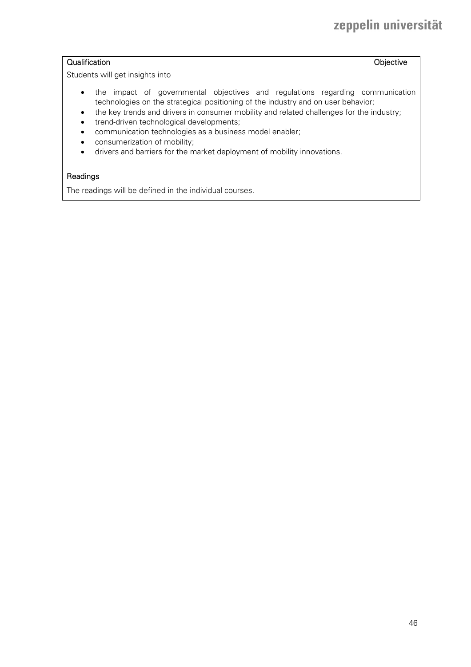## Qualification **Objective**

Students will get insights into

- the impact of governmental objectives and regulations regarding communication technologies on the strategical positioning of the industry and on user behavior;
- the key trends and drivers in consumer mobility and related challenges for the industry;
- trend-driven technological developments;
- communication technologies as a business model enabler;
- consumerization of mobility;
- drivers and barriers for the market deployment of mobility innovations.

### Readings

The readings will be defined in the individual courses.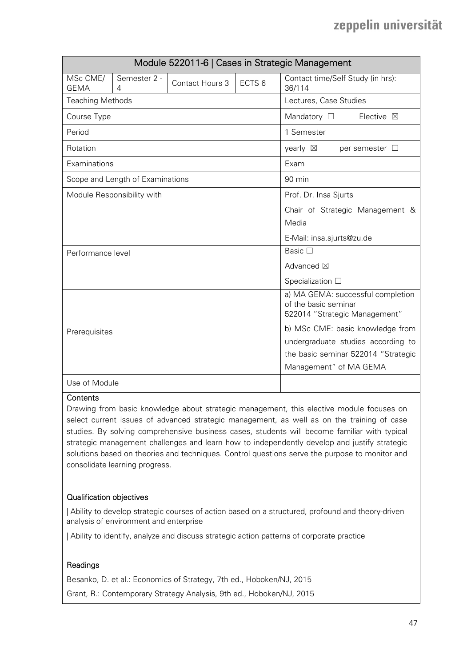|                         |                                  | Module 522011-6   Cases in Strategic Management |                                     |                                                                                            |
|-------------------------|----------------------------------|-------------------------------------------------|-------------------------------------|--------------------------------------------------------------------------------------------|
| MSc CME/<br><b>GEMA</b> | Semester 2 -<br>4                | <b>Contact Hours 3</b>                          | ECTS <sub>6</sub>                   | Contact time/Self Study (in hrs):<br>36/114                                                |
| <b>Teaching Methods</b> |                                  |                                                 |                                     | Lectures, Case Studies                                                                     |
| Course Type             |                                  |                                                 |                                     | Mandatory $\square$<br>Elective $\boxtimes$                                                |
| Period                  |                                  |                                                 |                                     | 1 Semester                                                                                 |
| Rotation                |                                  |                                                 |                                     | yearly $\boxtimes$<br>per semester $\Box$                                                  |
| Examinations            |                                  |                                                 |                                     | Exam                                                                                       |
|                         | Scope and Length of Examinations |                                                 |                                     | 90 min                                                                                     |
|                         | Module Responsibility with       |                                                 |                                     | Prof. Dr. Insa Sjurts                                                                      |
|                         |                                  |                                                 |                                     | Chair of Strategic Management &                                                            |
|                         |                                  |                                                 |                                     | Media                                                                                      |
|                         |                                  |                                                 |                                     | E-Mail: insa.sjurts@zu.de                                                                  |
| Performance level       |                                  |                                                 |                                     | Basic $\square$                                                                            |
|                         |                                  | Advanced ⊠                                      |                                     |                                                                                            |
|                         |                                  |                                                 |                                     | Specialization $\Box$                                                                      |
|                         |                                  |                                                 |                                     | a) MA GEMA: successful completion<br>of the basic seminar<br>522014 "Strategic Management" |
| Prerequisites           |                                  | b) MSc CME: basic knowledge from                |                                     |                                                                                            |
|                         |                                  | undergraduate studies according to              |                                     |                                                                                            |
|                         |                                  |                                                 | the basic seminar 522014 "Strategic |                                                                                            |
|                         |                                  |                                                 |                                     | Management" of MA GEMA                                                                     |
| Use of Module           |                                  |                                                 |                                     |                                                                                            |

#### **Contents**

Drawing from basic knowledge about strategic management, this elective module focuses on select current issues of advanced strategic management, as well as on the training of case studies. By solving comprehensive business cases, students will become familiar with typical strategic management challenges and learn how to independently develop and justify strategic solutions based on theories and techniques. Control questions serve the purpose to monitor and consolidate learning progress.

### Qualification objectives

| Ability to develop strategic courses of action based on a structured, profound and theory-driven analysis of environment and enterprise

| Ability to identify, analyze and discuss strategic action patterns of corporate practice

#### Readings

Besanko, D. et al.: Economics of Strategy, 7th ed., Hoboken/NJ, 2015

Grant, R.: Contemporary Strategy Analysis, 9th ed., Hoboken/NJ, 2015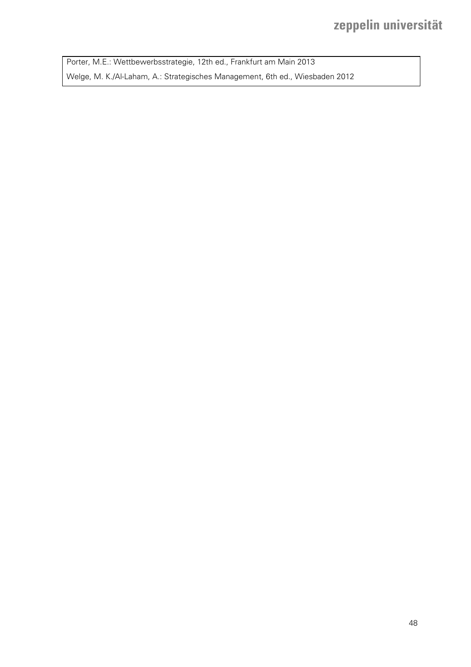Porter, M.E.: Wettbewerbsstrategie, 12th ed., Frankfurt am Main 2013 Welge, M. K./Al-Laham, A.: Strategisches Management, 6th ed., Wiesbaden 2012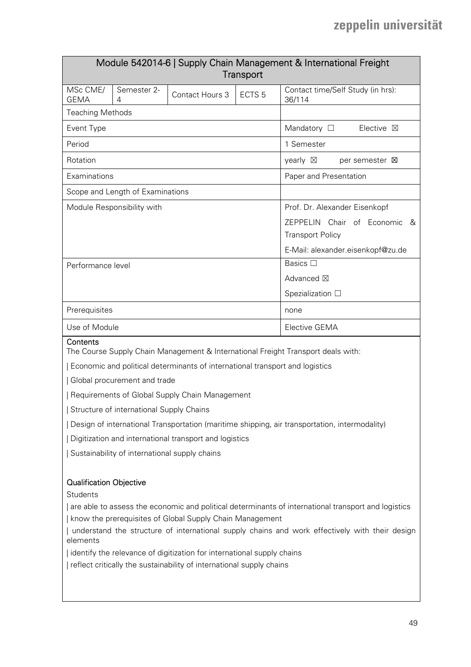| Module 542014-6   Supply Chain Management & International Freight<br><b>Transport</b>        |                                                |                                                                              |                   |                                             |  |  |  |
|----------------------------------------------------------------------------------------------|------------------------------------------------|------------------------------------------------------------------------------|-------------------|---------------------------------------------|--|--|--|
| MSc CME/<br><b>GEMA</b>                                                                      | Semester 2-<br>4                               | Contact Hours 3                                                              | ECTS <sub>5</sub> | Contact time/Self Study (in hrs):<br>36/114 |  |  |  |
| <b>Teaching Methods</b>                                                                      |                                                |                                                                              |                   |                                             |  |  |  |
| Event Type                                                                                   |                                                |                                                                              |                   | Mandatory $\square$<br>Elective $\boxtimes$ |  |  |  |
| Period                                                                                       |                                                |                                                                              |                   | 1 Semester                                  |  |  |  |
| Rotation                                                                                     |                                                |                                                                              |                   | yearly $\boxtimes$<br>per semester X        |  |  |  |
| Examinations                                                                                 |                                                |                                                                              |                   | Paper and Presentation                      |  |  |  |
|                                                                                              | Scope and Length of Examinations               |                                                                              |                   |                                             |  |  |  |
|                                                                                              | Module Responsibility with                     |                                                                              |                   | Prof. Dr. Alexander Eisenkopf               |  |  |  |
|                                                                                              |                                                |                                                                              |                   | ZEPPELIN Chair of Economic<br>&             |  |  |  |
|                                                                                              |                                                |                                                                              |                   | <b>Transport Policy</b>                     |  |  |  |
|                                                                                              |                                                |                                                                              |                   | E-Mail: alexander.eisenkopf@zu.de           |  |  |  |
| Performance level                                                                            |                                                |                                                                              |                   | Basics $\square$                            |  |  |  |
|                                                                                              |                                                | Advanced ⊠                                                                   |                   |                                             |  |  |  |
|                                                                                              |                                                |                                                                              |                   | Spezialization □                            |  |  |  |
| Prerequisites                                                                                |                                                |                                                                              |                   | none                                        |  |  |  |
| Use of Module                                                                                |                                                |                                                                              | Elective GEMA     |                                             |  |  |  |
| Contents<br>The Course Supply Chain Management & International Freight Transport deals with: |                                                |                                                                              |                   |                                             |  |  |  |
|                                                                                              |                                                | Economic and political determinants of international transport and logistics |                   |                                             |  |  |  |
| Global procurement and trade                                                                 |                                                |                                                                              |                   |                                             |  |  |  |
|                                                                                              | Requirements of Global Supply Chain Management |                                                                              |                   |                                             |  |  |  |
|                                                                                              | Structure of international Supply Chains       |                                                                              |                   |                                             |  |  |  |

| Design of international Transportation (maritime shipping, air transportation, intermodality)

| Digitization and international transport and logistics

| Sustainability of international supply chains

### Qualification Objective

**Students** 

| are able to assess the economic and political determinants of international transport and logistics | know the prerequisites of Global Supply Chain Management

| understand the structure of international supply chains and work effectively with their design elements

| identify the relevance of digitization for international supply chains

| reflect critically the sustainability of international supply chains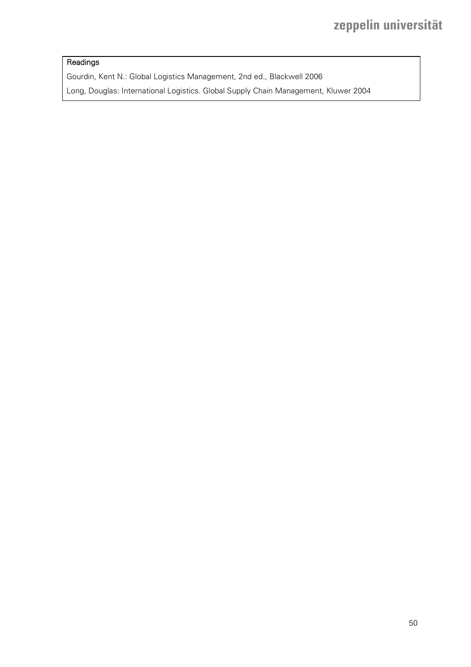## Readings

Gourdin, Kent N.: Global Logistics Management, 2nd ed., Blackwell 2006

Long, Douglas: International Logistics. Global Supply Chain Management, Kluwer 2004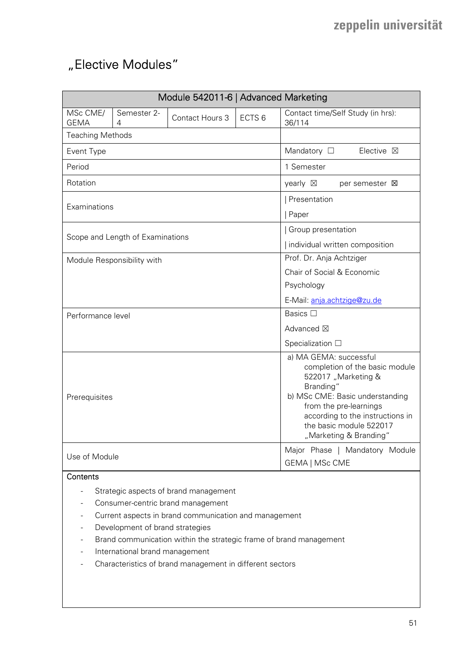# "Elective Modules"

|                                                                                                                                                                                                                                                                                                                                            |                                  | Module 542011-6   Advanced Marketing                                                                                                                                                                                                               |                   |                                                  |
|--------------------------------------------------------------------------------------------------------------------------------------------------------------------------------------------------------------------------------------------------------------------------------------------------------------------------------------------|----------------------------------|----------------------------------------------------------------------------------------------------------------------------------------------------------------------------------------------------------------------------------------------------|-------------------|--------------------------------------------------|
| MSc CME/<br><b>GEMA</b>                                                                                                                                                                                                                                                                                                                    | Semester 2-<br>4                 | Contact Hours 3                                                                                                                                                                                                                                    | ECTS <sub>6</sub> | Contact time/Self Study (in hrs):<br>36/114      |
| <b>Teaching Methods</b>                                                                                                                                                                                                                                                                                                                    |                                  |                                                                                                                                                                                                                                                    |                   |                                                  |
| Event Type                                                                                                                                                                                                                                                                                                                                 |                                  |                                                                                                                                                                                                                                                    |                   | Mandatory $\square$<br>Elective ⊠                |
| Period                                                                                                                                                                                                                                                                                                                                     |                                  |                                                                                                                                                                                                                                                    |                   | 1 Semester                                       |
| Rotation                                                                                                                                                                                                                                                                                                                                   |                                  |                                                                                                                                                                                                                                                    |                   | yearly $\boxtimes$<br>per semester $\boxtimes$   |
|                                                                                                                                                                                                                                                                                                                                            |                                  | Presentation                                                                                                                                                                                                                                       |                   |                                                  |
| Examinations                                                                                                                                                                                                                                                                                                                               |                                  |                                                                                                                                                                                                                                                    |                   | Paper                                            |
|                                                                                                                                                                                                                                                                                                                                            |                                  |                                                                                                                                                                                                                                                    |                   | Group presentation                               |
|                                                                                                                                                                                                                                                                                                                                            | Scope and Length of Examinations |                                                                                                                                                                                                                                                    |                   | Individual written composition                   |
|                                                                                                                                                                                                                                                                                                                                            | Module Responsibility with       |                                                                                                                                                                                                                                                    |                   | Prof. Dr. Anja Achtziger                         |
|                                                                                                                                                                                                                                                                                                                                            |                                  |                                                                                                                                                                                                                                                    |                   | Chair of Social & Economic                       |
|                                                                                                                                                                                                                                                                                                                                            |                                  |                                                                                                                                                                                                                                                    |                   | Psychology                                       |
|                                                                                                                                                                                                                                                                                                                                            |                                  |                                                                                                                                                                                                                                                    |                   | E-Mail: anja.achtzige@zu.de                      |
| Performance level                                                                                                                                                                                                                                                                                                                          |                                  |                                                                                                                                                                                                                                                    |                   | Basics □                                         |
|                                                                                                                                                                                                                                                                                                                                            |                                  |                                                                                                                                                                                                                                                    |                   | Advanced ⊠                                       |
|                                                                                                                                                                                                                                                                                                                                            |                                  |                                                                                                                                                                                                                                                    |                   | Specialization $\square$                         |
| Prerequisites                                                                                                                                                                                                                                                                                                                              |                                  | a) MA GEMA: successful<br>completion of the basic module<br>522017 "Marketing &<br>Branding"<br>b) MSc CME: Basic understanding<br>from the pre-learnings<br>according to the instructions in<br>the basic module 522017<br>"Marketing & Branding" |                   |                                                  |
| Use of Module                                                                                                                                                                                                                                                                                                                              |                                  |                                                                                                                                                                                                                                                    |                   | Major Phase   Mandatory Module<br>GEMA   MSc CME |
| Contents                                                                                                                                                                                                                                                                                                                                   |                                  |                                                                                                                                                                                                                                                    |                   |                                                  |
| Strategic aspects of brand management<br>Consumer-centric brand management<br>Current aspects in brand communication and management<br>Development of brand strategies<br>Brand communication within the strategic frame of brand management<br>International brand management<br>Characteristics of brand management in different sectors |                                  |                                                                                                                                                                                                                                                    |                   |                                                  |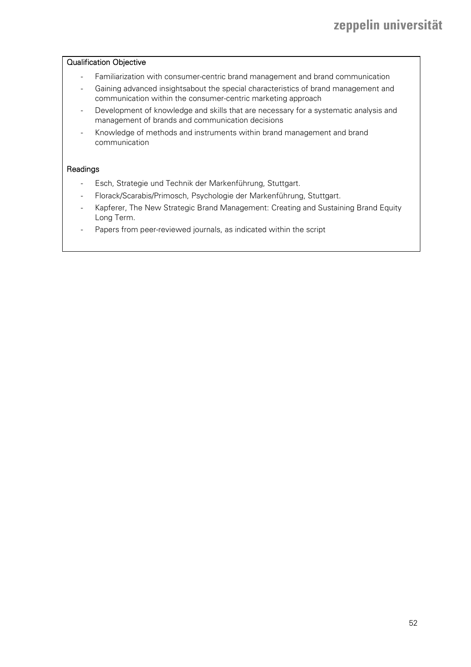#### Qualification Objective

- Familiarization with consumer-centric brand management and brand communication
- Gaining advanced insightsabout the special characteristics of brand management and communication within the consumer-centric marketing approach
- Development of knowledge and skills that are necessary for a systematic analysis and management of brands and communication decisions
- Knowledge of methods and instruments within brand management and brand communication

#### Readings

- Esch, Strategie und Technik der Markenführung, Stuttgart.
- Florack/Scarabis/Primosch, Psychologie der Markenführung, Stuttgart.
- Kapferer, The New Strategic Brand Management: Creating and Sustaining Brand Equity Long Term.
- Papers from peer-reviewed journals, as indicated within the script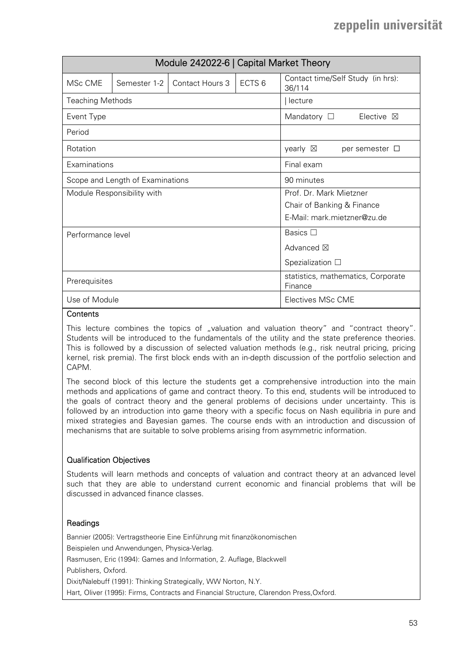|                         |                                  | Module 242022-6   Capital Market Theory       |                             |                                             |
|-------------------------|----------------------------------|-----------------------------------------------|-----------------------------|---------------------------------------------|
| MSc CME                 | Semester 1-2                     | Contact Hours 3                               | ECTS <sub>6</sub>           | Contact time/Self Study (in hrs):<br>36/114 |
| <b>Teaching Methods</b> |                                  |                                               |                             | lecture                                     |
| Event Type              |                                  |                                               |                             | Mandatory $\square$<br>Elective $\boxtimes$ |
| Period                  |                                  |                                               |                             |                                             |
| Rotation                |                                  |                                               |                             | yearly $\boxtimes$<br>per semester $\Box$   |
| Examinations            |                                  |                                               |                             | Final exam                                  |
|                         | Scope and Length of Examinations |                                               |                             | 90 minutes                                  |
|                         | Module Responsibility with       |                                               |                             | Prof. Dr. Mark Mietzner                     |
|                         |                                  | Chair of Banking & Finance                    |                             |                                             |
|                         |                                  |                                               | E-Mail: mark.mietzner@zu.de |                                             |
| Performance level       |                                  |                                               | Basics $\square$            |                                             |
|                         |                                  |                                               | Advanced $\boxtimes$        |                                             |
|                         |                                  | Spezialization $\square$                      |                             |                                             |
| Prerequisites           |                                  | statistics, mathematics, Corporate<br>Finance |                             |                                             |
| Use of Module           |                                  | Electives MSc CME                             |                             |                                             |

#### **Contents**

This lecture combines the topics of "valuation and valuation theory" and "contract theory". Students will be introduced to the fundamentals of the utility and the state preference theories. This is followed by a discussion of selected valuation methods (e.g., risk neutral pricing, pricing kernel, risk premia). The first block ends with an in-depth discussion of the portfolio selection and CAPM.

The second block of this lecture the students get a comprehensive introduction into the main methods and applications of game and contract theory. To this end, students will be introduced to the goals of contract theory and the general problems of decisions under uncertainty. This is followed by an introduction into game theory with a specific focus on Nash equilibria in pure and mixed strategies and Bayesian games. The course ends with an introduction and discussion of mechanisms that are suitable to solve problems arising from asymmetric information.

#### Qualification Objectives

Students will learn methods and concepts of valuation and contract theory at an advanced level such that they are able to understand current economic and financial problems that will be discussed in advanced finance classes.

### Readings

Bannier (2005): Vertragstheorie Eine Einführung mit finanzökonomischen Beispielen und Anwendungen, Physica-Verlag. Rasmusen, Eric (1994): Games and Information, 2. Auflage, Blackwell Publishers, Oxford. Dixit/Nalebuff (1991): Thinking Strategically, WW Norton, N.Y. Hart, Oliver (1995): Firms, Contracts and Financial Structure, Clarendon Press,Oxford.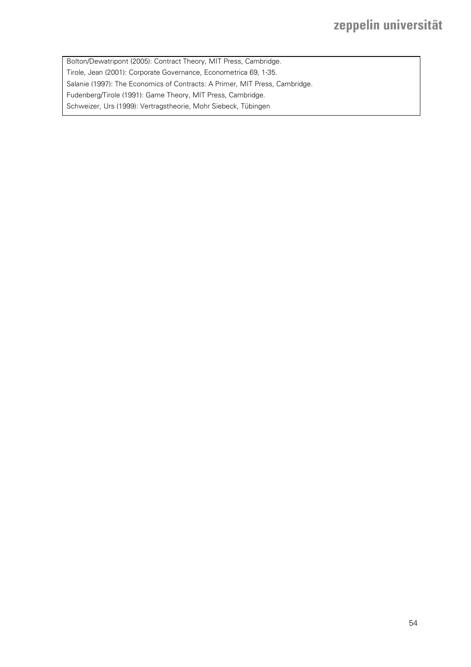Bolton/Dewatripont (2005): Contract Theory, MIT Press, Cambridge. Tirole, Jean (2001): Corporate Governance, Econometrica 69, 1-35. Salanie (1997): The Economics of Contracts: A Primer, MIT Press, Cambridge. Fudenberg/Tirole (1991): Game Theory, MIT Press, Cambridge. Schweizer, Urs (1999): Vertragstheorie, Mohr Siebeck, Tübingen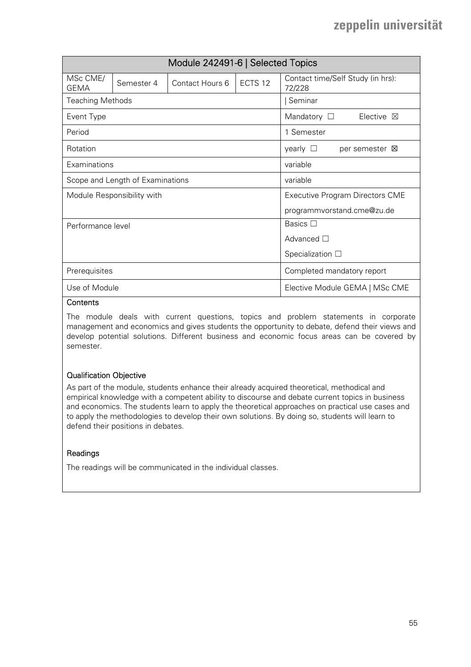| Module 242491-6   Selected Topics |                                  |                                        |                  |                                             |  |  |
|-----------------------------------|----------------------------------|----------------------------------------|------------------|---------------------------------------------|--|--|
| MSc CME/<br><b>GEMA</b>           | Semester 4                       | Contact Hours 6                        | ECTS 12          | Contact time/Self Study (in hrs):<br>72/228 |  |  |
| <b>Teaching Methods</b>           |                                  |                                        |                  | Seminar                                     |  |  |
| Event Type                        |                                  |                                        |                  | Mandatory $\Box$<br>Elective 冈              |  |  |
| Period                            |                                  |                                        |                  | 1 Semester                                  |  |  |
| Rotation                          |                                  |                                        |                  | yearly $\Box$<br>per semester <b>X</b>      |  |  |
| Examinations                      |                                  |                                        |                  | variable                                    |  |  |
|                                   | Scope and Length of Examinations |                                        |                  | variable                                    |  |  |
|                                   | Module Responsibility with       | <b>Executive Program Directors CME</b> |                  |                                             |  |  |
|                                   |                                  | programmvorstand.cme@zu.de             |                  |                                             |  |  |
| Performance level                 |                                  |                                        | Basics $\square$ |                                             |  |  |
|                                   |                                  | Advanced $\square$                     |                  |                                             |  |  |
|                                   |                                  | Specialization $\square$               |                  |                                             |  |  |
| Prerequisites                     |                                  | Completed mandatory report             |                  |                                             |  |  |
| Use of Module                     |                                  | Elective Module GEMA   MSc CME         |                  |                                             |  |  |

#### **Contents**

The module deals with current questions, topics and problem statements in corporate management and economics and gives students the opportunity to debate, defend their views and develop potential solutions. Different business and economic focus areas can be covered by semester.

### Qualification Objective

As part of the module, students enhance their already acquired theoretical, methodical and empirical knowledge with a competent ability to discourse and debate current topics in business and economics. The students learn to apply the theoretical approaches on practical use cases and to apply the methodologies to develop their own solutions. By doing so, students will learn to defend their positions in debates.

#### Readings

The readings will be communicated in the individual classes.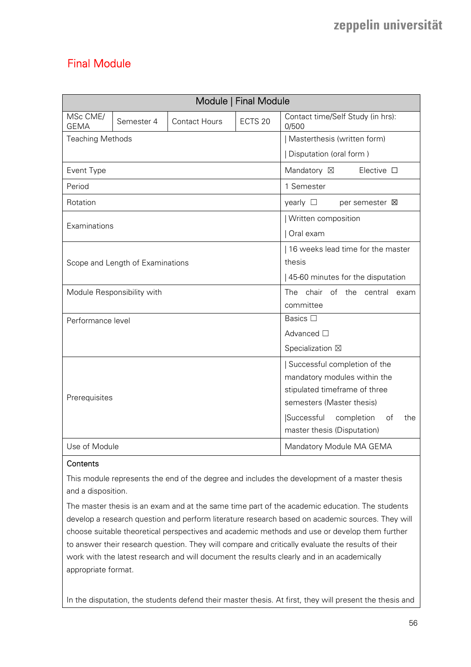## Final Module

|                         |                                  |                                       | Module   Final Module |                                            |
|-------------------------|----------------------------------|---------------------------------------|-----------------------|--------------------------------------------|
| MSc CME/<br><b>GEMA</b> | Semester 4                       | <b>Contact Hours</b>                  | ECTS <sub>20</sub>    | Contact time/Self Study (in hrs):<br>0/500 |
| <b>Teaching Methods</b> |                                  |                                       |                       | Masterthesis (written form)                |
|                         |                                  |                                       |                       | Disputation (oral form)                    |
| Event Type              |                                  |                                       |                       | Elective $\square$<br>Mandatory ⊠          |
| Period                  |                                  |                                       |                       | 1 Semester                                 |
| Rotation                |                                  |                                       |                       | yearly $\Box$<br>per semester $\boxtimes$  |
| Examinations            |                                  |                                       |                       | Written composition                        |
|                         |                                  |                                       |                       | Oral exam                                  |
|                         |                                  |                                       |                       | 16 weeks lead time for the master          |
|                         | Scope and Length of Examinations |                                       |                       | thesis                                     |
|                         |                                  |                                       |                       | 45-60 minutes for the disputation          |
|                         | Module Responsibility with       |                                       |                       | chair of the central<br>The<br>exam        |
|                         |                                  |                                       |                       | committee                                  |
| Performance level       |                                  |                                       |                       | Basics □                                   |
|                         |                                  |                                       |                       | Advanced □                                 |
|                         |                                  |                                       |                       | Specialization ⊠                           |
|                         |                                  |                                       |                       | Successful completion of the               |
|                         |                                  | mandatory modules within the          |                       |                                            |
| Prerequisites           |                                  | stipulated timeframe of three         |                       |                                            |
|                         |                                  | semesters (Master thesis)             |                       |                                            |
|                         |                                  | Successful<br>completion<br>of<br>the |                       |                                            |
|                         |                                  | master thesis (Disputation)           |                       |                                            |
| Use of Module           |                                  |                                       |                       | Mandatory Module MA GEMA                   |

### **Contents**

This module represents the end of the degree and includes the development of a master thesis and a disposition.

The master thesis is an exam and at the same time part of the academic education. The students develop a research question and perform literature research based on academic sources. They will choose suitable theoretical perspectives and academic methods and use or develop them further to answer their research question. They will compare and critically evaluate the results of their work with the latest research and will document the results clearly and in an academically appropriate format.

In the disputation, the students defend their master thesis. At first, they will present the thesis and